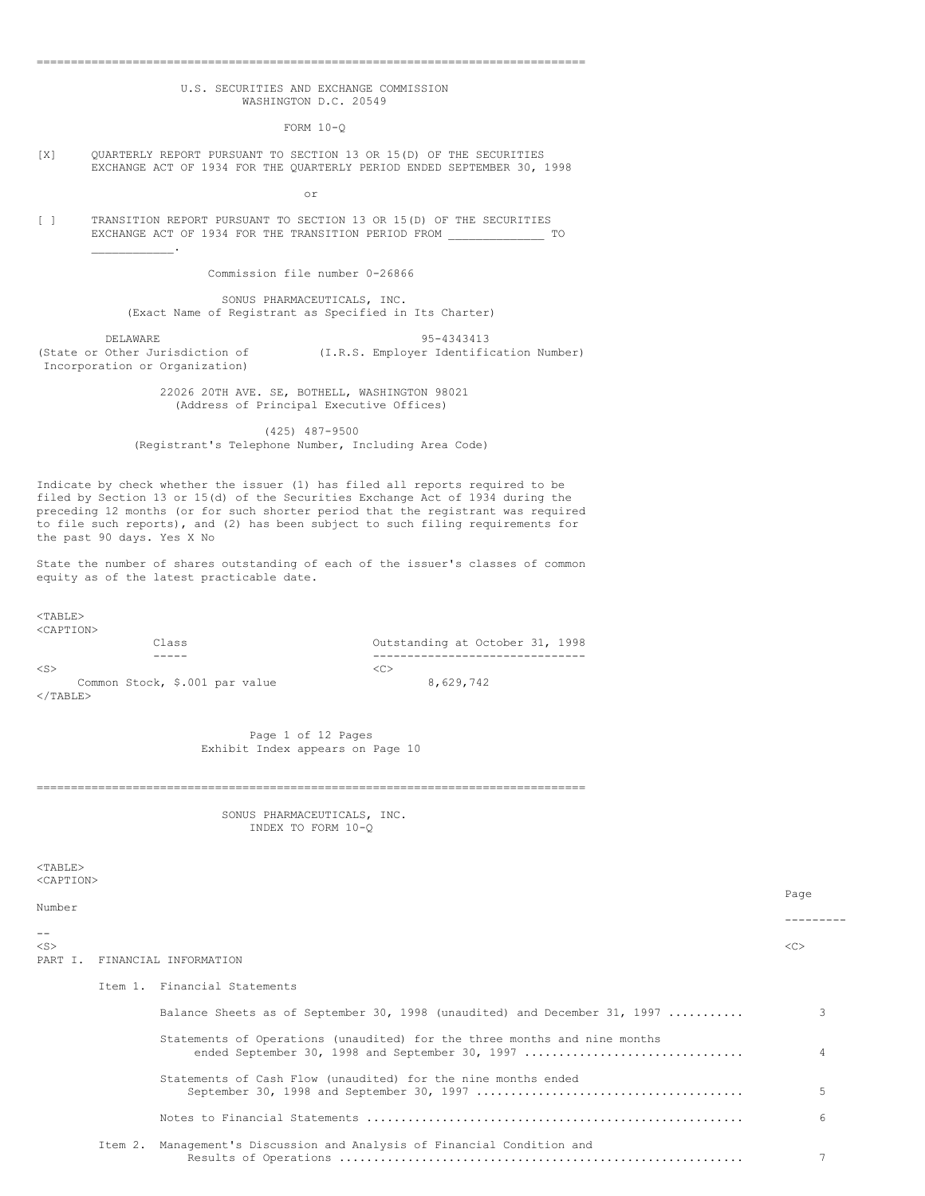## U.S. SECURITIES AND EXCHANGE COMMISSION WASHINGTON D.C. 20549

================================================================================

FORM 10-Q

[X] QUARTERLY REPORT PURSUANT TO SECTION 13 OR 15(D) OF THE SECURITIES EXCHANGE ACT OF 1934 FOR THE QUARTERLY PERIOD ENDED SEPTEMBER 30, 1998

or

[ ] TRANSITION REPORT PURSUANT TO SECTION 13 OR 15(D) OF THE SECURITIES EXCHANGE ACT OF 1934 FOR THE TRANSITION PERIOD FROM \_\_\_\_\_\_\_\_\_\_\_\_\_\_\_\_\_\_\_\_\_\_\_\_\_\_\_\_\_  $\mathcal{L}=\{1,2,3,4,5\}$ 

Commission file number 0-26866

SONUS PHARMACEUTICALS, INC. (Exact Name of Registrant as Specified in Its Charter)

DELAWARE 95-4343413 (State or Other Jurisdiction of (I.R.S. Employer Identification Number) Incorporation or Organization)

> 22026 20TH AVE. SE, BOTHELL, WASHINGTON 98021 (Address of Principal Executive Offices)

(425) 487-9500 (Registrant's Telephone Number, Including Area Code)

Indicate by check whether the issuer (1) has filed all reports required to be filed by Section 13 or 15(d) of the Securities Exchange Act of 1934 during the preceding 12 months (or for such shorter period that the registrant was required to file such reports), and (2) has been subject to such filing requirements for the past 90 days. Yes X No

State the number of shares outstanding of each of the issuer's classes of common equity as of the latest practicable date.

<TABLE> <CAPTION>

Class Outstanding at October 31, 1998

 $\langle$ S>  $\langle$ C>

----- -------------------------------

Common Stock, \$.001 par value  $8,629,742$  $\langle$ /TABLE $>$ 

> Page 1 of 12 Pages Exhibit Index appears on Page 10

================================================================================

SONUS PHARMACEUTICALS, INC. INDEX TO FORM 10-Q

 $<$ TABLE> <CAPTION>

| Number    |                                                                                                                              | Page |
|-----------|------------------------------------------------------------------------------------------------------------------------------|------|
| $- -$     |                                                                                                                              |      |
| $<$ S $>$ | PART I. FINANCIAL INFORMATION                                                                                                | <<   |
|           | Ttem 1. Financial Statements                                                                                                 |      |
|           | Balance Sheets as of September 30, 1998 (unaudited) and December 31, 1997                                                    | 3    |
|           | Statements of Operations (unaudited) for the three months and nine months<br>ended September 30, 1998 and September 30, 1997 | 4    |
|           | Statements of Cash Flow (unaudited) for the nine months ended                                                                | 5    |
|           |                                                                                                                              | 6    |
|           | Item 2. Management's Discussion and Analysis of Financial Condition and                                                      |      |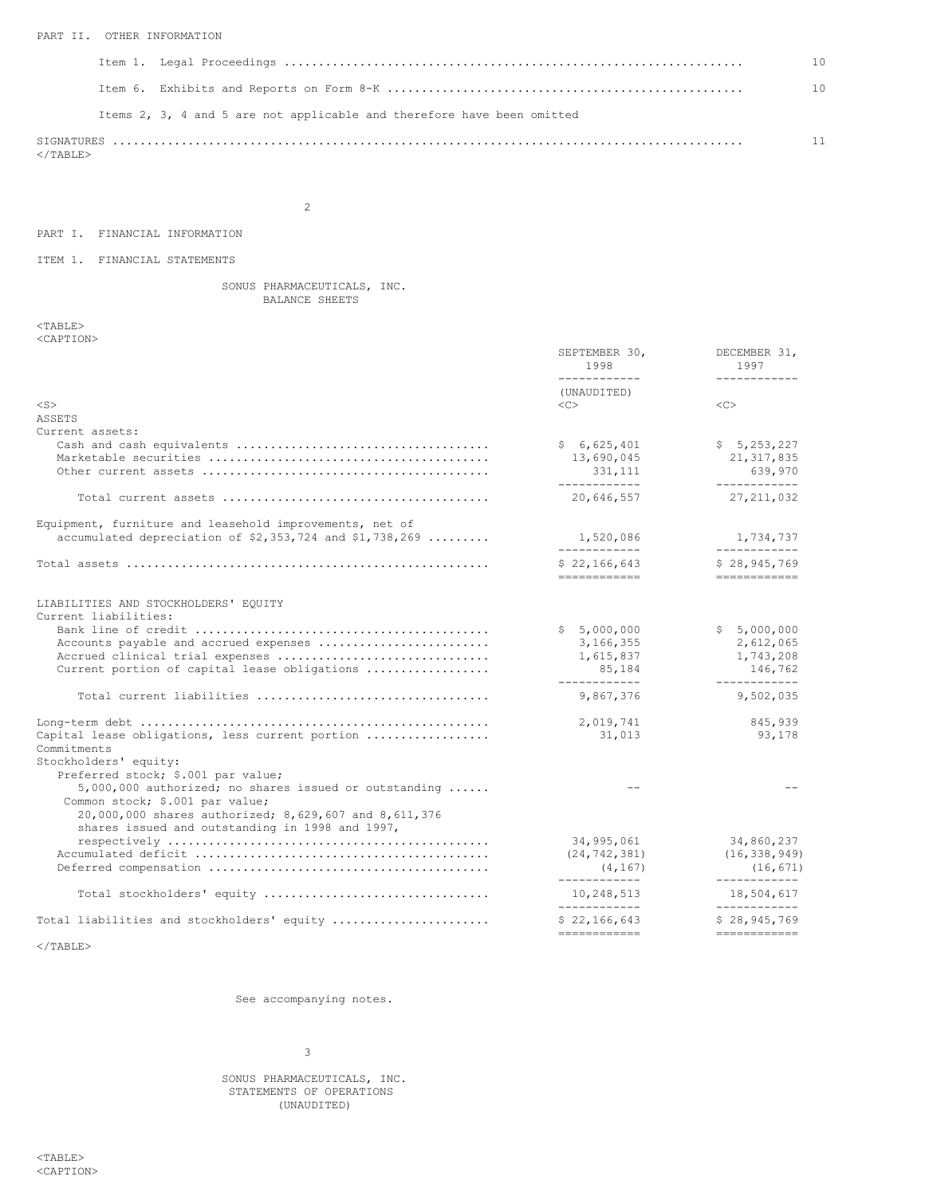## PART II. OTHER INFORMATION

|                                                                        | 10 <sup>1</sup> |
|------------------------------------------------------------------------|-----------------|
|                                                                        | 10              |
| Items 2, 3, 4 and 5 are not applicable and therefore have been omitted |                 |
| $<$ /TABLE>                                                            | 11              |

2

# PART I. FINANCIAL INFORMATION

## ITEM 1. FINANCIAL STATEMENTS

SONUS PHARMACEUTICALS, INC. BALANCE SHEETS

 $<$ TABLE $>$ <CAPTION>

|                                                                                                                                | SEPTEMBER 30,<br>1998<br>____________                | DECEMBER 31,<br>1997<br>____________                                                                                                                                                                                                                                                                                                                                                                                                                                                                          |
|--------------------------------------------------------------------------------------------------------------------------------|------------------------------------------------------|---------------------------------------------------------------------------------------------------------------------------------------------------------------------------------------------------------------------------------------------------------------------------------------------------------------------------------------------------------------------------------------------------------------------------------------------------------------------------------------------------------------|
| $<$ S $>$                                                                                                                      | (UNAUDITED)<br><<                                    | <<                                                                                                                                                                                                                                                                                                                                                                                                                                                                                                            |
| ASSETS                                                                                                                         |                                                      |                                                                                                                                                                                                                                                                                                                                                                                                                                                                                                               |
| Current assets:                                                                                                                |                                                      |                                                                                                                                                                                                                                                                                                                                                                                                                                                                                                               |
|                                                                                                                                | \$6,625,401<br>13,690,045<br>331,111<br>____________ | \$5, 253, 227<br>21, 317, 835<br>639,970<br>____________                                                                                                                                                                                                                                                                                                                                                                                                                                                      |
|                                                                                                                                | 20,646,557                                           | 27, 211, 032                                                                                                                                                                                                                                                                                                                                                                                                                                                                                                  |
| Equipment, furniture and leasehold improvements, net of                                                                        |                                                      |                                                                                                                                                                                                                                                                                                                                                                                                                                                                                                               |
| accumulated depreciation of $$2,353,724$ and $$1,738,269$                                                                      | 1,520,086<br>____________                            | 1,734,737<br>------------                                                                                                                                                                                                                                                                                                                                                                                                                                                                                     |
|                                                                                                                                | \$22.166.643<br>============                         | \$28.945.769<br>============                                                                                                                                                                                                                                                                                                                                                                                                                                                                                  |
| LIABILITIES AND STOCKHOLDERS' EQUITY                                                                                           |                                                      |                                                                                                                                                                                                                                                                                                                                                                                                                                                                                                               |
| Current liabilities:                                                                                                           |                                                      |                                                                                                                                                                                                                                                                                                                                                                                                                                                                                                               |
|                                                                                                                                | \$5,000,000                                          | \$5,000,000                                                                                                                                                                                                                                                                                                                                                                                                                                                                                                   |
| Accounts payable and accrued expenses<br>Accrued clinical trial expenses                                                       | 3,166,355<br>1,615,837                               | 2,612,065<br>1,743,208                                                                                                                                                                                                                                                                                                                                                                                                                                                                                        |
| Current portion of capital lease obligations                                                                                   | 85,184<br>------------                               | 146,762<br>------------                                                                                                                                                                                                                                                                                                                                                                                                                                                                                       |
| Total current liabilities                                                                                                      | 9,867,376                                            | 9,502,035                                                                                                                                                                                                                                                                                                                                                                                                                                                                                                     |
|                                                                                                                                | 2,019,741                                            | 845,939                                                                                                                                                                                                                                                                                                                                                                                                                                                                                                       |
| Capital lease obligations, less current portion<br>Commitments                                                                 | 31,013                                               | 93,178                                                                                                                                                                                                                                                                                                                                                                                                                                                                                                        |
| Stockholders' equity:                                                                                                          |                                                      |                                                                                                                                                                                                                                                                                                                                                                                                                                                                                                               |
| Preferred stock; \$.001 par value;<br>5,000,000 authorized; no shares issued or outstanding<br>Common stock; \$.001 par value; |                                                      |                                                                                                                                                                                                                                                                                                                                                                                                                                                                                                               |
| 20,000,000 shares authorized; 8,629,607 and 8,611,376<br>shares issued and outstanding in 1998 and 1997,                       |                                                      |                                                                                                                                                                                                                                                                                                                                                                                                                                                                                                               |
|                                                                                                                                | 34,995,061                                           | 34,860,237                                                                                                                                                                                                                                                                                                                                                                                                                                                                                                    |
|                                                                                                                                | (24, 742, 381)<br>(4, 167)<br>_____________          | (16, 338, 949)<br>(16, 671)<br>____________                                                                                                                                                                                                                                                                                                                                                                                                                                                                   |
| Total stockholders' equity                                                                                                     | 10,248,513<br>____________                           | 18,504,617<br>____________                                                                                                                                                                                                                                                                                                                                                                                                                                                                                    |
| Total liabilities and stockholders' equity                                                                                     | \$22,166,643<br>============                         | \$28,945,769<br>$\begin{tabular}{ccccc} \multicolumn{2}{c}{\multicolumn{2}{c}{\multicolumn{2}{c}{\multicolumn{2}{c}{\multicolumn{2}{c}{\multicolumn{2}{c}{\multicolumn{2}{c}{\multicolumn{2}{c}{\multicolumn{2}{c}{\multicolumn{2}{c}{\multicolumn{2}{c}{\multicolumn{2}{c}{\multicolumn{2}{c}{\multicolumn{2}{c}{\textbf{1}}}}}}}}}}\quad \multicolumn{2}{c}{ \begin{tabular}{c} \multicolumn{2}{c}{\multicolumn{2}{c}{\multicolumn{2}{c}{\textbf{1}}\end{tabular}} \hline \multicolumn{2}{c}{\multicolumn{$ |
|                                                                                                                                |                                                      |                                                                                                                                                                                                                                                                                                                                                                                                                                                                                                               |

 $\langle$ /TABLE>

See accompanying notes.

3

SONUS PHARMACEUTICALS, INC. STATEMENTS OF OPERATIONS (UNAUDITED)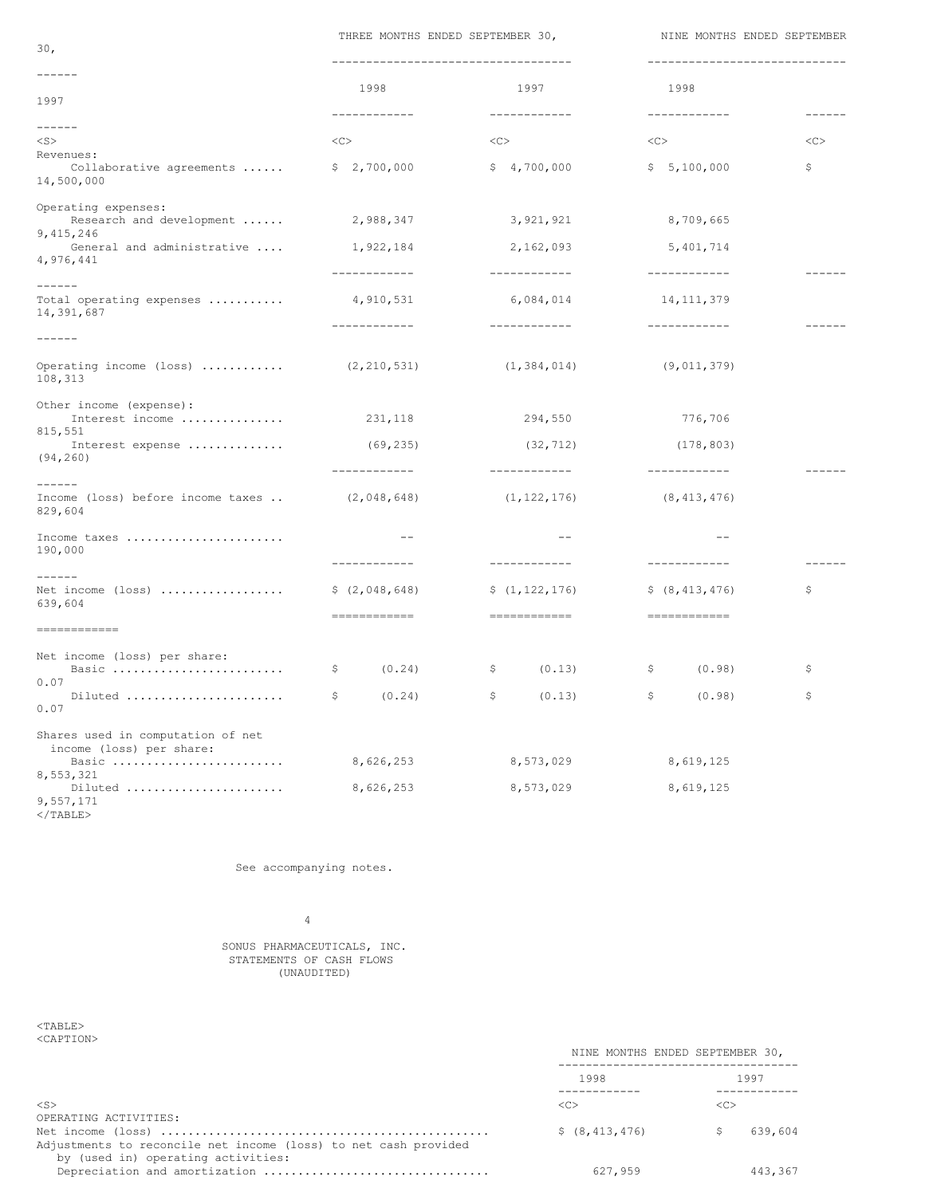THREE MONTHS ENDED SEPTEMBER 30, NINE MONTHS ENDED SEPTEMBER

| 30 <sub>1</sub>                                                                |                             | INDER MONING ENDED JEFIEMBER JV,                       | NINE PONING ENDED OEFIEPER                            |               |
|--------------------------------------------------------------------------------|-----------------------------|--------------------------------------------------------|-------------------------------------------------------|---------------|
| $- - - - - - -$<br>1997                                                        | 1998<br>------------        | ------------------------------<br>1997<br>------------ | -----------------------------<br>1998<br>------------ | $- - - - - -$ |
| $- - - - - -$                                                                  |                             |                                                        |                                                       |               |
| $<$ S $>$<br>Revenues:<br>Collaborative agreements  \$ 2,700,000<br>14,500,000 | <<                          | <<<br>\$4,700,000                                      | <<<br>\$5,100,000                                     | <<<br>\$      |
| Operating expenses:<br>Research and development<br>9,415,246                   | 2,988,347                   | 3,921,921                                              | 8,709,665                                             |               |
| General and administrative<br>4,976,441                                        | 1,922,184                   | 2,162,093                                              | 5,401,714                                             |               |
| $- - - - - -$                                                                  | ------------                | ------------                                           | ------------                                          |               |
| Total operating expenses<br>14,391,687                                         | 4,910,531<br>------------   | 6,084,014<br>------------                              | 14, 111, 379<br>____________                          |               |
| $- - - - - -$                                                                  |                             |                                                        |                                                       |               |
| Operating income (loss)  (2,210,531)<br>108,313                                |                             | (1, 384, 014)                                          | (9,011,379)                                           |               |
| Other income (expense):<br>Interest income  231,118                            |                             | 294,550                                                | 776,706                                               |               |
| 815,551<br>Interest expense<br>(94, 260)                                       | (69, 235)                   | (32, 712)                                              | (178, 803)                                            |               |
| $- - - - - -$<br>Income (loss) before income taxes                             | ------------<br>(2,048,648) | ------------<br>(1, 122, 176)                          | ------------<br>(8, 413, 476)                         |               |
| 829,604                                                                        |                             |                                                        |                                                       |               |
| Income taxes<br>190,000                                                        | $ -$                        | $-$                                                    | $- -$                                                 |               |
| $- - - - - -$                                                                  | ------------                | ------------                                           | ------------                                          | $- - - - - -$ |
| Net income (loss) $\frac{2}{3}(2,048,648)$<br>639,604                          |                             | \$(1, 122, 176)                                        | \$ (8, 413, 476)                                      | \$            |
|                                                                                |                             |                                                        |                                                       |               |
| Net income (loss) per share:<br>Basic                                          | (0.24)<br>$\mathcal{S}$     | \$<br>(0.13)                                           | Ş.<br>(0.98)                                          | \$            |
| 0.07<br>Diluted<br>0.07                                                        | $\mathcal{S}$<br>(0.24)     | $\mathsf{S}$<br>(0.13)                                 | Ş.<br>(0.98)                                          | \$.           |
| Shares used in computation of net                                              |                             |                                                        |                                                       |               |
| income (loss) per share:<br>Basic                                              | 8,626,253                   | 8,573,029                                              | 8,619,125                                             |               |
| 8,553,321<br>Diluted<br>9,557,171                                              | 8,626,253                   | 8,573,029                                              | 8,619,125                                             |               |

</TABLE>

See accompanying notes.

4

SONUS PHARMACEUTICALS, INC. STATEMENTS OF CASH FLOWS (UNAUDITED)

<TABLE> <CAPTION>

| NINE MONTHS ENDED SEPTEMBER 30, |               |
|---------------------------------|---------------|
| 1998                            | 1997          |
| $\langle C \rangle$             | <c></c>       |
| \$ (8, 413, 476)                | 639,604<br>S. |
| 627,959                         | 443.367       |
|                                 |               |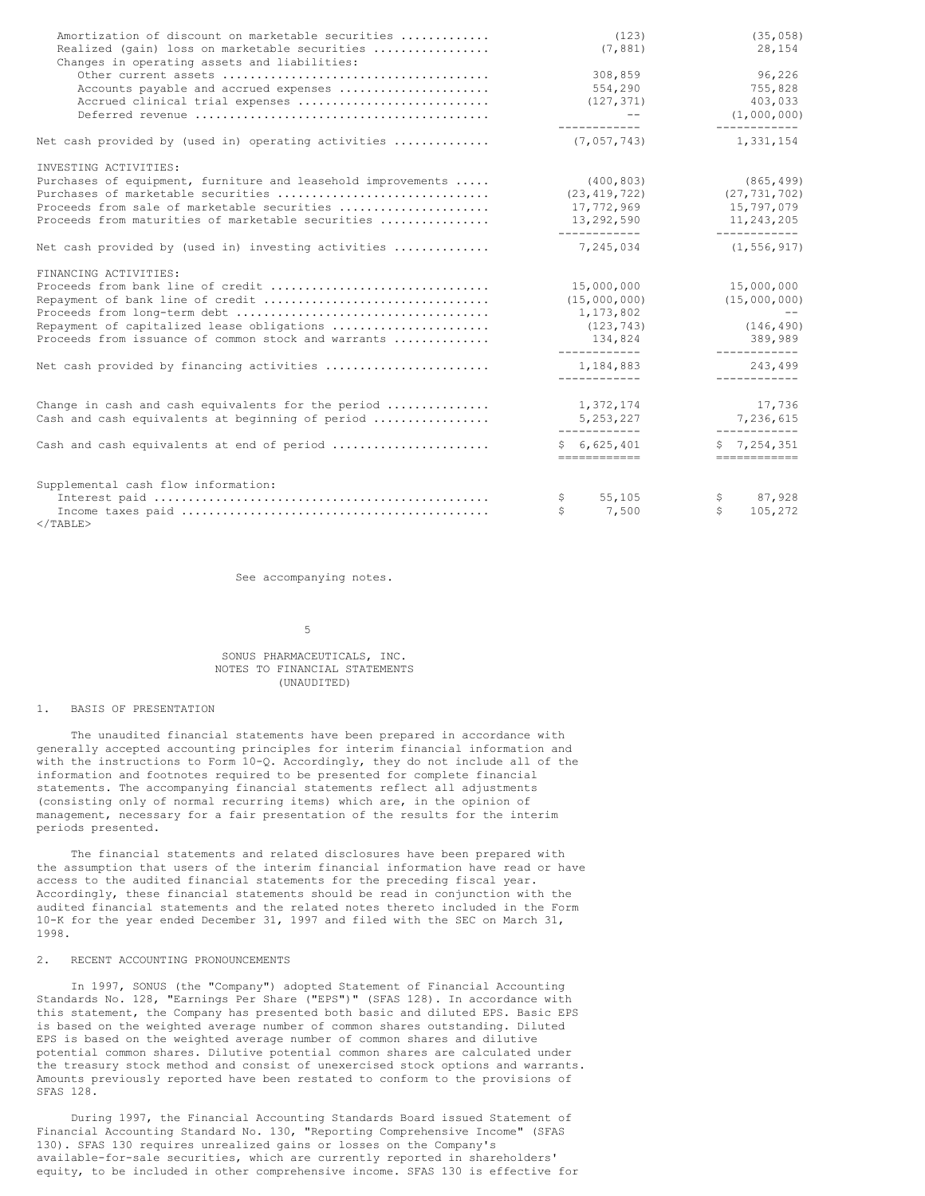| Amortization of discount on marketable securities<br>Realized (gain) loss on marketable securities<br>Changes in operating assets and liabilities: | (123)<br>(7, 881)                | (35, 058)<br>28,154            |
|----------------------------------------------------------------------------------------------------------------------------------------------------|----------------------------------|--------------------------------|
| Accounts payable and accrued expenses<br>Accrued clinical trial expenses                                                                           | 308,859<br>554,290<br>(127, 371) | 96,226<br>755,828<br>403,033   |
|                                                                                                                                                    | $ -$<br>------------             | (1,000,000)<br>------------    |
| Net cash provided by (used in) operating activities                                                                                                | (7,057,743)                      | 1,331,154                      |
| INVESTING ACTIVITIES:                                                                                                                              |                                  |                                |
| Purchases of equipment, furniture and leasehold improvements                                                                                       | (400, 803)                       | (865, 499)                     |
| Purchases of marketable securities                                                                                                                 | (23, 419, 722)                   | (27, 731, 702)                 |
| Proceeds from sale of marketable securities                                                                                                        | 17,772,969                       | 15,797,079                     |
| Proceeds from maturities of marketable securities                                                                                                  | 13,292,590<br>____________       | 11,243,205<br>____________     |
| Net cash provided by (used in) investing activities                                                                                                | 7,245,034                        | (1, 556, 917)                  |
| FINANCING ACTIVITIES:                                                                                                                              |                                  |                                |
| Proceeds from bank line of credit                                                                                                                  | 15,000,000                       | 15,000,000                     |
| Repayment of bank line of credit                                                                                                                   | (15,000,000)                     | (15,000,000)                   |
|                                                                                                                                                    | 1,173,802                        | <b>Contract Contract State</b> |
| Repayment of capitalized lease obligations                                                                                                         | (123, 743)                       | (146, 490)                     |
| Proceeds from issuance of common stock and warrants                                                                                                | 134,824                          | 389,989                        |
| Net cash provided by financing activities                                                                                                          | ____________<br>1,184,883        | ____________<br>243.499        |
|                                                                                                                                                    | ____________                     | ------------                   |
| Change in cash and cash equivalents for the period                                                                                                 | 1,372,174                        | 17,736                         |
| Cash and cash equivalents at beginning of period                                                                                                   | 5, 253, 227                      | 7,236,615                      |
| Cash and cash equivalents at end of period                                                                                                         | ____________<br>\$6,625,401      | ____________<br>\$7,254,351    |
|                                                                                                                                                    | ============                     | ============                   |
| Supplemental cash flow information:                                                                                                                |                                  |                                |
|                                                                                                                                                    | 55,105<br>Ş.                     | 87,928<br>\$.                  |
|                                                                                                                                                    | \$<br>7,500                      | Ŝ.<br>105,272                  |
| $\langle$ /TABLE>                                                                                                                                  |                                  |                                |

See accompanying notes.

#### 5

## SONUS PHARMACEUTICALS, INC. NOTES TO FINANCIAL STATEMENTS (UNAUDITED)

#### 1. BASIS OF PRESENTATION

The unaudited financial statements have been prepared in accordance with generally accepted accounting principles for interim financial information and with the instructions to Form 10-Q. Accordingly, they do not include all of the information and footnotes required to be presented for complete financial statements. The accompanying financial statements reflect all adjustments (consisting only of normal recurring items) which are, in the opinion of management, necessary for a fair presentation of the results for the interim periods presented.

The financial statements and related disclosures have been prepared with the assumption that users of the interim financial information have read or have access to the audited financial statements for the preceding fiscal year. Accordingly, these financial statements should be read in conjunction with the audited financial statements and the related notes thereto included in the Form 10-K for the year ended December 31, 1997 and filed with the SEC on March 31, 1998.

#### 2. RECENT ACCOUNTING PRONOUNCEMENTS

In 1997, SONUS (the "Company") adopted Statement of Financial Accounting Standards No. 128, "Earnings Per Share ("EPS")" (SFAS 128). In accordance with this statement, the Company has presented both basic and diluted EPS. Basic EPS is based on the weighted average number of common shares outstanding. Diluted EPS is based on the weighted average number of common shares and dilutive potential common shares. Dilutive potential common shares are calculated under the treasury stock method and consist of unexercised stock options and warrants. Amounts previously reported have been restated to conform to the provisions of SFAS 128.

During 1997, the Financial Accounting Standards Board issued Statement of Financial Accounting Standard No. 130, "Reporting Comprehensive Income" (SFAS 130). SFAS 130 requires unrealized gains or losses on the Company's available-for-sale securities, which are currently reported in shareholders' equity, to be included in other comprehensive income. SFAS 130 is effective for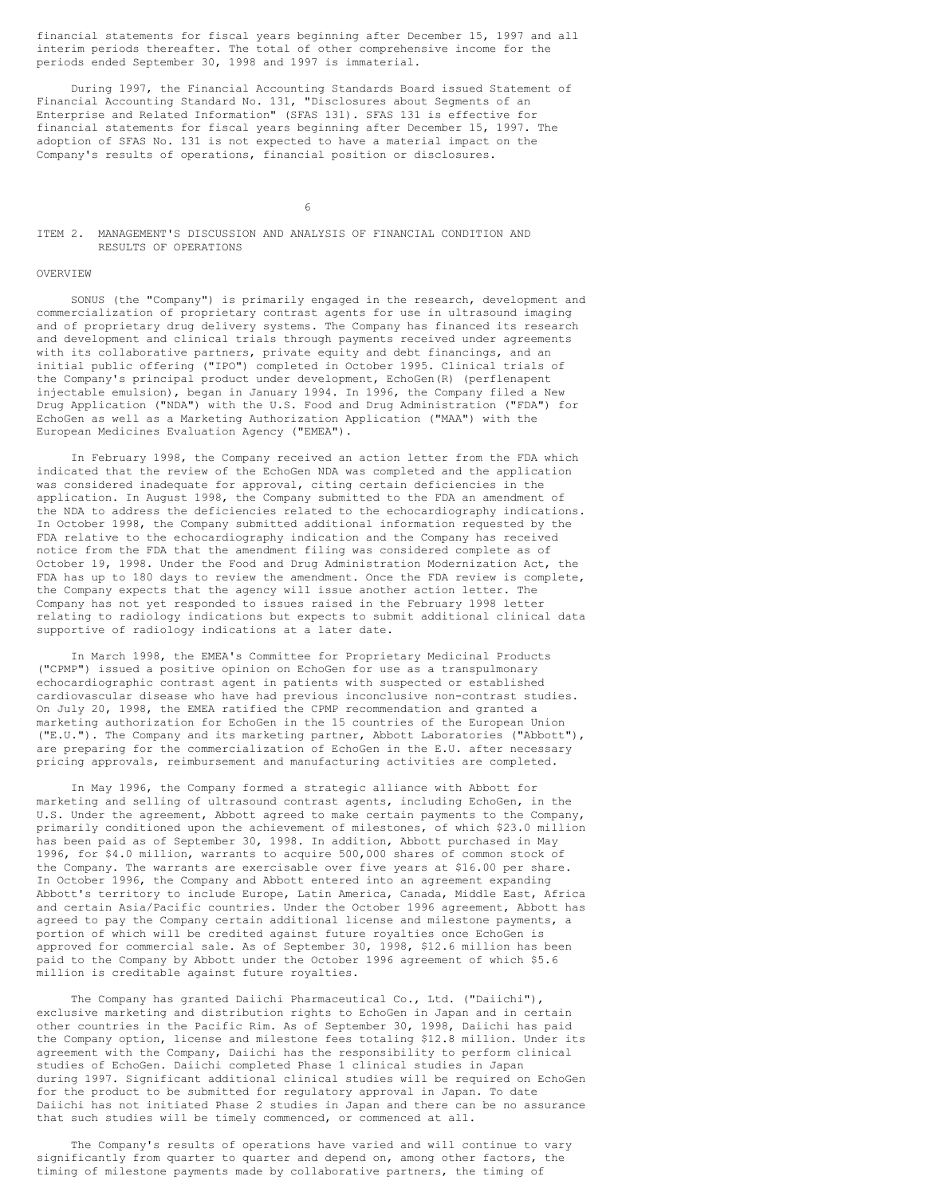financial statements for fiscal years beginning after December 15, 1997 and all interim periods thereafter. The total of other comprehensive income for the periods ended September 30, 1998 and 1997 is immaterial.

During 1997, the Financial Accounting Standards Board issued Statement of Financial Accounting Standard No. 131, "Disclosures about Segments of an Enterprise and Related Information" (SFAS 131). SFAS 131 is effective for financial statements for fiscal years beginning after December 15, 1997. The adoption of SFAS No. 131 is not expected to have a material impact on the Company's results of operations, financial position or disclosures.

6

## ITEM 2. MANAGEMENT'S DISCUSSION AND ANALYSIS OF FINANCIAL CONDITION AND RESULTS OF OPERATIONS

#### OVERVIEW

SONUS (the "Company") is primarily engaged in the research, development and commercialization of proprietary contrast agents for use in ultrasound imaging and of proprietary drug delivery systems. The Company has financed its research and development and clinical trials through payments received under agreements with its collaborative partners, private equity and debt financings, and an initial public offering ("IPO") completed in October 1995. Clinical trials of the Company's principal product under development, EchoGen(R) (perflenapent injectable emulsion), began in January 1994. In 1996, the Company filed a New Drug Application ("NDA") with the U.S. Food and Drug Administration ("FDA") for EchoGen as well as a Marketing Authorization Application ("MAA") with the European Medicines Evaluation Agency ("EMEA").

In February 1998, the Company received an action letter from the FDA which indicated that the review of the EchoGen NDA was completed and the application was considered inadequate for approval, citing certain deficiencies in the application. In August 1998, the Company submitted to the FDA an amendment of the NDA to address the deficiencies related to the echocardiography indications. In October 1998, the Company submitted additional information requested by the FDA relative to the echocardiography indication and the Company has received notice from the FDA that the amendment filing was considered complete as of October 19, 1998. Under the Food and Drug Administration Modernization Act, the FDA has up to 180 days to review the amendment. Once the FDA review is complete, the Company expects that the agency will issue another action letter. The Company has not yet responded to issues raised in the February 1998 letter relating to radiology indications but expects to submit additional clinical data supportive of radiology indications at a later date.

In March 1998, the EMEA's Committee for Proprietary Medicinal Products ("CPMP") issued a positive opinion on EchoGen for use as a transpulmonary echocardiographic contrast agent in patients with suspected or established cardiovascular disease who have had previous inconclusive non-contrast studies. On July 20, 1998, the EMEA ratified the CPMP recommendation and granted a marketing authorization for EchoGen in the 15 countries of the European Union ("E.U."). The Company and its marketing partner, Abbott Laboratories ("Abbott"), are preparing for the commercialization of EchoGen in the E.U. after necessary pricing approvals, reimbursement and manufacturing activities are completed.

In May 1996, the Company formed a strategic alliance with Abbott for marketing and selling of ultrasound contrast agents, including EchoGen, in the U.S. Under the agreement, Abbott agreed to make certain payments to the Company, primarily conditioned upon the achievement of milestones, of which \$23.0 million has been paid as of September 30, 1998. In addition, Abbott purchased in May 1996, for \$4.0 million, warrants to acquire 500,000 shares of common stock of the Company. The warrants are exercisable over five years at \$16.00 per share. In October 1996, the Company and Abbott entered into an agreement expanding Abbott's territory to include Europe, Latin America, Canada, Middle East, Africa and certain Asia/Pacific countries. Under the October 1996 agreement, Abbott has agreed to pay the Company certain additional license and milestone payments, a portion of which will be credited against future royalties once EchoGen is approved for commercial sale. As of September 30, 1998, \$12.6 million has been paid to the Company by Abbott under the October 1996 agreement of which \$5.6 million is creditable against future royalties.

The Company has granted Daiichi Pharmaceutical Co., Ltd. ("Daiichi"), exclusive marketing and distribution rights to EchoGen in Japan and in certain other countries in the Pacific Rim. As of September 30, 1998, Daiichi has paid the Company option, license and milestone fees totaling \$12.8 million. Under its agreement with the Company, Daiichi has the responsibility to perform clinical studies of EchoGen. Daiichi completed Phase 1 clinical studies in Japan during 1997. Significant additional clinical studies will be required on EchoGen for the product to be submitted for regulatory approval in Japan. To date Daiichi has not initiated Phase 2 studies in Japan and there can be no assurance that such studies will be timely commenced, or commenced at all.

The Company's results of operations have varied and will continue to vary significantly from quarter to quarter and depend on, among other factors, the timing of milestone payments made by collaborative partners, the timing of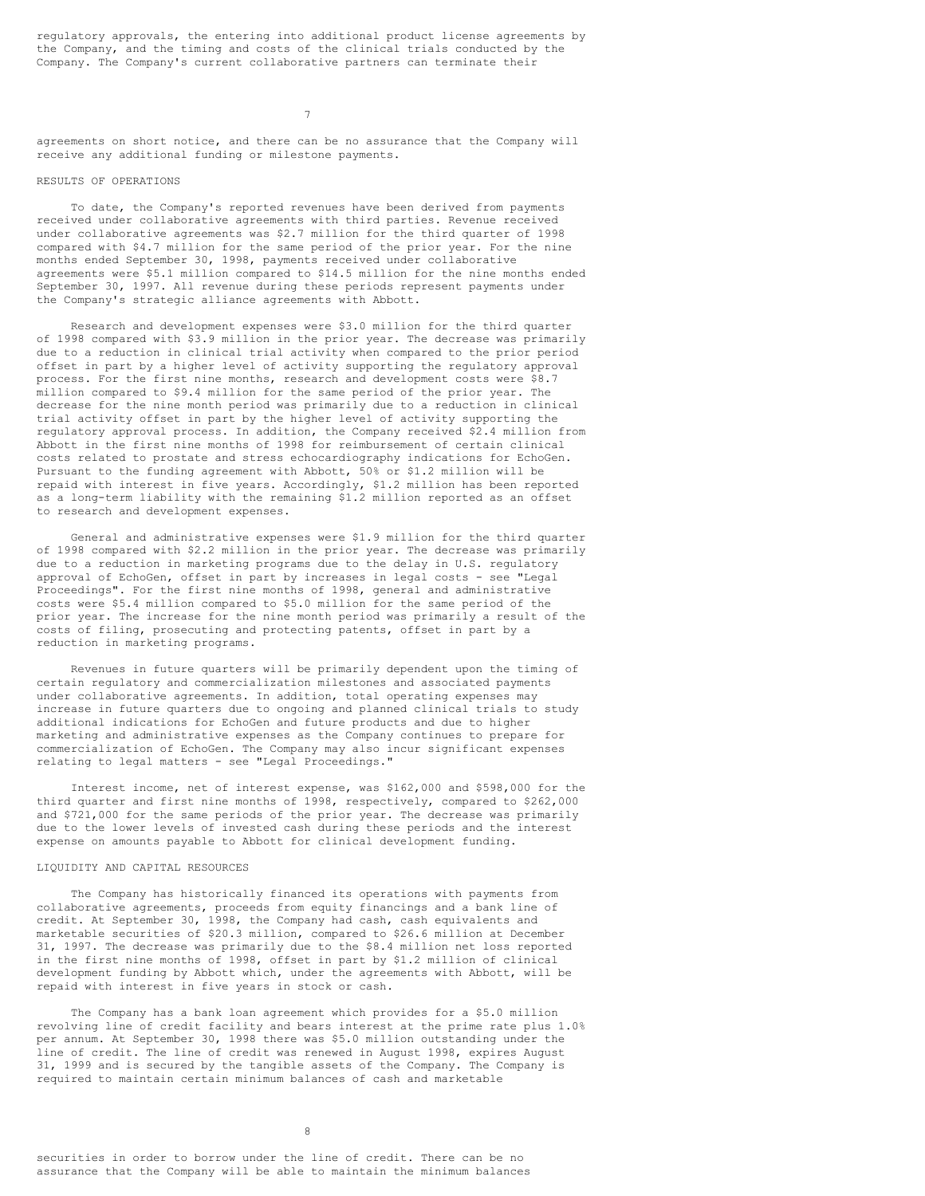regulatory approvals, the entering into additional product license agreements by the Company, and the timing and costs of the clinical trials conducted by the Company. The Company's current collaborative partners can terminate their

7

agreements on short notice, and there can be no assurance that the Company will receive any additional funding or milestone payments.

## RESULTS OF OPERATIONS

To date, the Company's reported revenues have been derived from payments received under collaborative agreements with third parties. Revenue received under collaborative agreements was \$2.7 million for the third quarter of 1998 compared with \$4.7 million for the same period of the prior year. For the nine months ended September 30, 1998, payments received under collaborative agreements were \$5.1 million compared to \$14.5 million for the nine months ended September 30, 1997. All revenue during these periods represent payments under the Company's strategic alliance agreements with Abbott.

Research and development expenses were \$3.0 million for the third quarter of 1998 compared with \$3.9 million in the prior year. The decrease was primarily due to a reduction in clinical trial activity when compared to the prior period offset in part by a higher level of activity supporting the regulatory approval process. For the first nine months, research and development costs were \$8.7 .<br>million compared to \$9.4 million for the same period of the prior year. The decrease for the nine month period was primarily due to a reduction in clinical trial activity offset in part by the higher level of activity supporting the regulatory approval process. In addition, the Company received \$2.4 million from Abbott in the first nine months of 1998 for reimbursement of certain clinical costs related to prostate and stress echocardiography indications for EchoGen. Pursuant to the funding agreement with Abbott, 50% or \$1.2 million will be repaid with interest in five years. Accordingly, \$1.2 million has been reported as a long-term liability with the remaining \$1.2 million reported as an offset to research and development expenses.

General and administrative expenses were \$1.9 million for the third quarter of 1998 compared with \$2.2 million in the prior year. The decrease was primarily due to a reduction in marketing programs due to the delay in U.S. regulatory approval of EchoGen, offset in part by increases in legal costs - see "Legal Proceedings". For the first nine months of 1998, general and administrative costs were \$5.4 million compared to \$5.0 million for the same period of the prior year. The increase for the nine month period was primarily a result of the costs of filing, prosecuting and protecting patents, offset in part by a reduction in marketing programs.

Revenues in future quarters will be primarily dependent upon the timing of certain regulatory and commercialization milestones and associated payments under collaborative agreements. In addition, total operating expenses may increase in future quarters due to ongoing and planned clinical trials to study additional indications for EchoGen and future products and due to higher marketing and administrative expenses as the Company continues to prepare for commercialization of EchoGen. The Company may also incur significant expenses relating to legal matters - see "Legal Proceedings."

Interest income, net of interest expense, was \$162,000 and \$598,000 for the third quarter and first nine months of 1998, respectively, compared to \$262,000 and \$721,000 for the same periods of the prior year. The decrease was primarily due to the lower levels of invested cash during these periods and the interest expense on amounts payable to Abbott for clinical development funding.

#### LIQUIDITY AND CAPITAL RESOURCES

The Company has historically financed its operations with payments from collaborative agreements, proceeds from equity financings and a bank line of credit. At September 30, 1998, the Company had cash, cash equivalents and marketable securities of \$20.3 million, compared to \$26.6 million at December 31, 1997. The decrease was primarily due to the \$8.4 million net loss reported in the first nine months of 1998, offset in part by \$1.2 million of clinical development funding by Abbott which, under the agreements with Abbott, will be repaid with interest in five years in stock or cash.

The Company has a bank loan agreement which provides for a \$5.0 million revolving line of credit facility and bears interest at the prime rate plus 1.0% per annum. At September 30, 1998 there was \$5.0 million outstanding under the line of credit. The line of credit was renewed in August 1998, expires August 31, 1999 and is secured by the tangible assets of the Company. The Company is required to maintain certain minimum balances of cash and marketable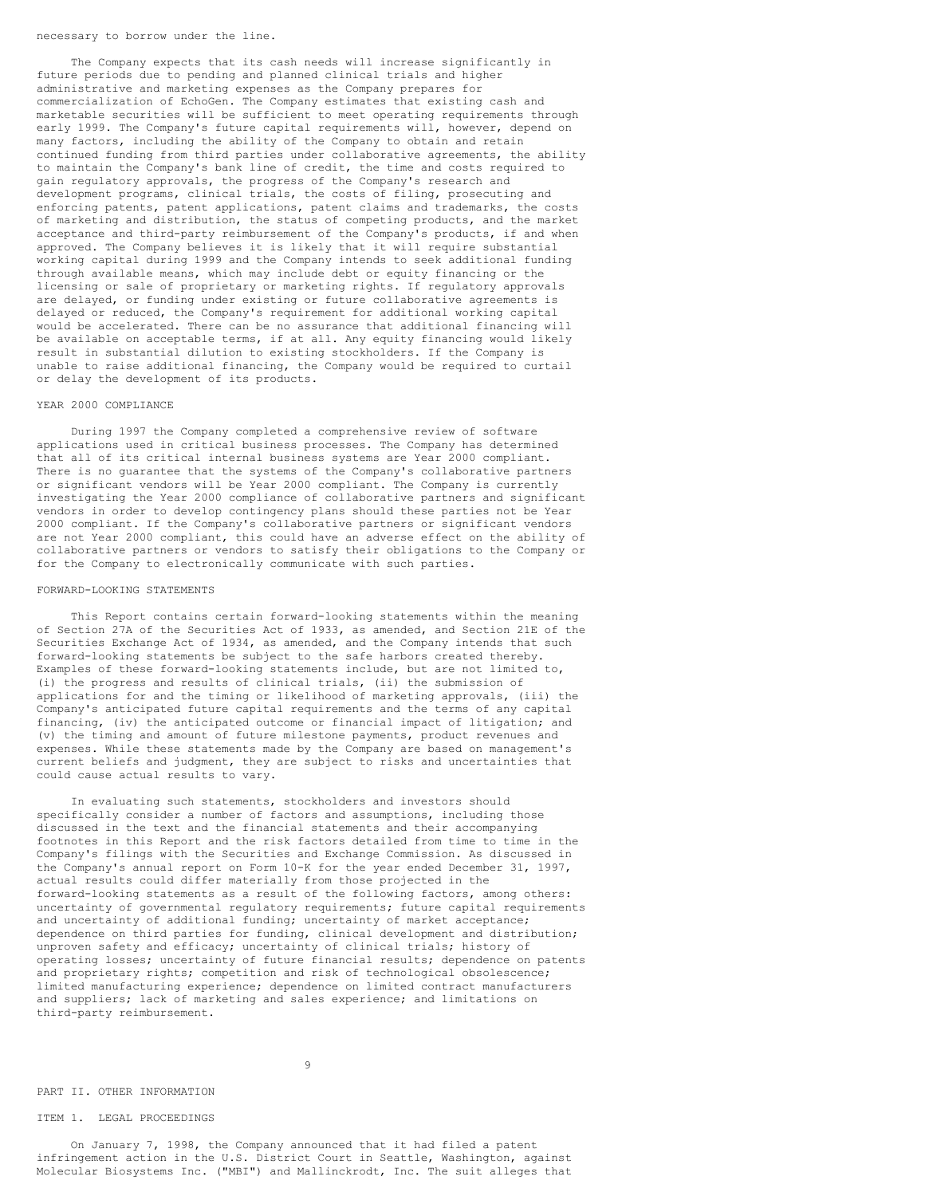#### necessary to borrow under the line.

The Company expects that its cash needs will increase significantly in future periods due to pending and planned clinical trials and higher administrative and marketing expenses as the Company prepares for commercialization of EchoGen. The Company estimates that existing cash and marketable securities will be sufficient to meet operating requirements through early 1999. The Company's future capital requirements will, however, depend on many factors, including the ability of the Company to obtain and retain continued funding from third parties under collaborative agreements, the ability to maintain the Company's bank line of credit, the time and costs required to gain regulatory approvals, the progress of the Company's research and development programs, clinical trials, the costs of filing, prosecuting and enforcing patents, patent applications, patent claims and trademarks, the costs of marketing and distribution, the status of competing products, and the market acceptance and third-party reimbursement of the Company's products, if and when approved. The Company believes it is likely that it will require substantial working capital during 1999 and the Company intends to seek additional funding through available means, which may include debt or equity financing or the licensing or sale of proprietary or marketing rights. If regulatory approvals are delayed, or funding under existing or future collaborative agreements is delayed or reduced, the Company's requirement for additional working capital would be accelerated. There can be no assurance that additional financing will be available on acceptable terms, if at all. Any equity financing would likely result in substantial dilution to existing stockholders. If the Company is unable to raise additional financing, the Company would be required to curtail or delay the development of its products.

#### YEAR 2000 COMPLIANCE

During 1997 the Company completed a comprehensive review of software applications used in critical business processes. The Company has determined that all of its critical internal business systems are Year 2000 compliant. There is no quarantee that the systems of the Company's collaborative partners or significant vendors will be Year 2000 compliant. The Company is currently investigating the Year 2000 compliance of collaborative partners and significant vendors in order to develop contingency plans should these parties not be Year 2000 compliant. If the Company's collaborative partners or significant vendors are not Year 2000 compliant, this could have an adverse effect on the ability of collaborative partners or vendors to satisfy their obligations to the Company or for the Company to electronically communicate with such parties.

#### FORWARD-LOOKING STATEMENTS

This Report contains certain forward-looking statements within the meaning of Section 27A of the Securities Act of 1933, as amended, and Section 21E of the Securities Exchange Act of 1934, as amended, and the Company intends that such forward-looking statements be subject to the safe harbors created thereby. Examples of these forward-looking statements include, but are not limited to, (i) the progress and results of clinical trials, (ii) the submission of applications for and the timing or likelihood of marketing approvals, (iii) the Company's anticipated future capital requirements and the terms of any capital financing, (iv) the anticipated outcome or financial impact of litigation; and (v) the timing and amount of future milestone payments, product revenues and expenses. While these statements made by the Company are based on management's current beliefs and judgment, they are subject to risks and uncertainties that could cause actual results to vary.

In evaluating such statements, stockholders and investors should specifically consider a number of factors and assumptions, including those discussed in the text and the financial statements and their accompanying footnotes in this Report and the risk factors detailed from time to time in the Company's filings with the Securities and Exchange Commission. As discussed in the Company's annual report on Form 10-K for the year ended December 31, 1997, actual results could differ materially from those projected in the forward-looking statements as a result of the following factors, among others: uncertainty of governmental regulatory requirements; future capital requirements and uncertainty of additional funding; uncertainty of market acceptance; dependence on third parties for funding, clinical development and distribution; unproven safety and efficacy; uncertainty of clinical trials; history of operating losses; uncertainty of future financial results; dependence on patents and proprietary rights; competition and risk of technological obsolescence; limited manufacturing experience; dependence on limited contract manufacturers and suppliers; lack of marketing and sales experience; and limitations on third-party reimbursement.

9

PART II. OTHER INFORMATION

ITEM 1. LEGAL PROCEEDINGS

On January 7, 1998, the Company announced that it had filed a patent infringement action in the U.S. District Court in Seattle, Washington, against Molecular Biosystems Inc. ("MBI") and Mallinckrodt, Inc. The suit alleges that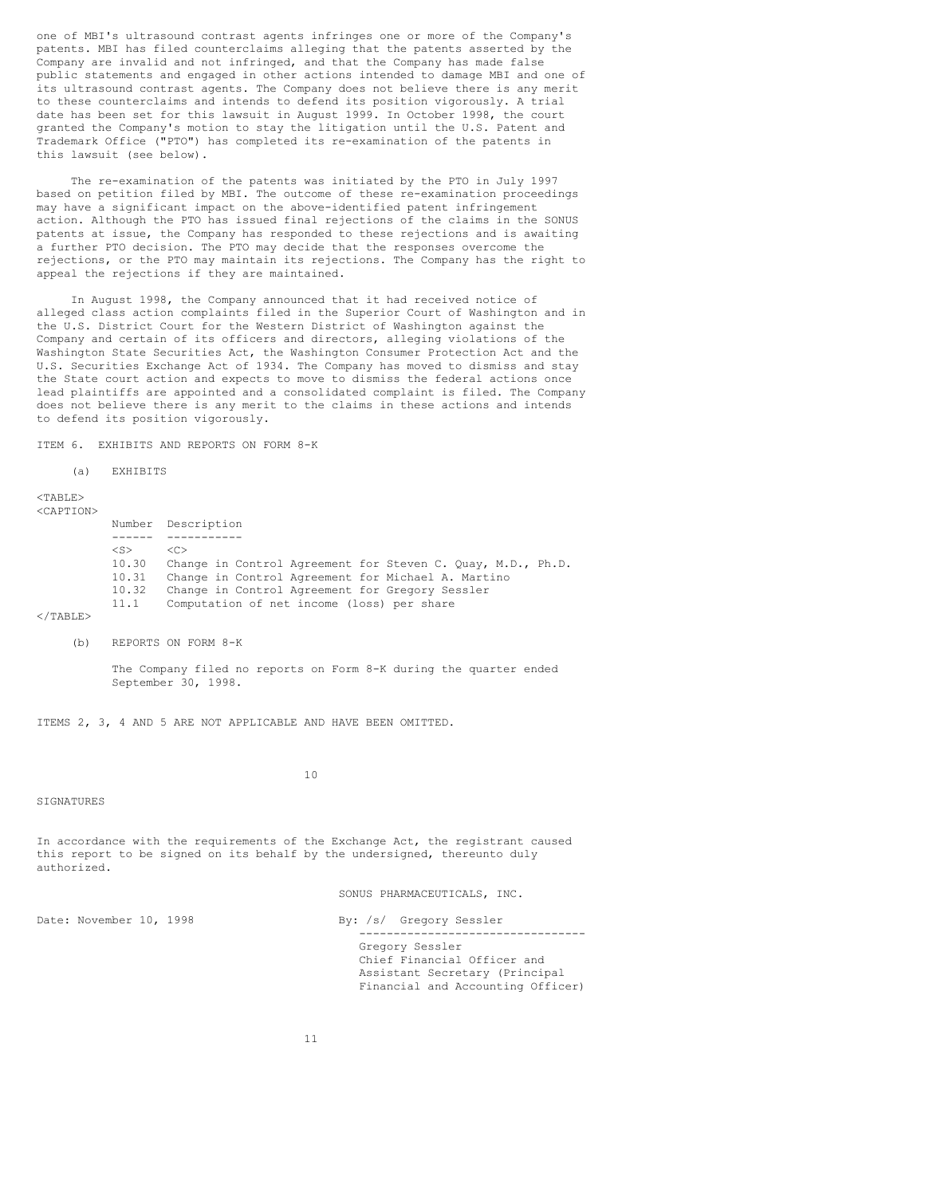one of MBI's ultrasound contrast agents infringes one or more of the Company's patents. MBI has filed counterclaims alleging that the patents asserted by the Company are invalid and not infringed, and that the Company has made false public statements and engaged in other actions intended to damage MBI and one of its ultrasound contrast agents. The Company does not believe there is any merit to these counterclaims and intends to defend its position vigorously. A trial date has been set for this lawsuit in August 1999. In October 1998, the court granted the Company's motion to stay the litigation until the U.S. Patent and Trademark Office ("PTO") has completed its re-examination of the patents in this lawsuit (see below).

The re-examination of the patents was initiated by the PTO in July 1997 based on petition filed by MBI. The outcome of these re-examination proceedings may have a significant impact on the above-identified patent infringement action. Although the PTO has issued final rejections of the claims in the SONUS patents at issue, the Company has responded to these rejections and is awaiting a further PTO decision. The PTO may decide that the responses overcome the rejections, or the PTO may maintain its rejections. The Company has the right to appeal the rejections if they are maintained.

In August 1998, the Company announced that it had received notice of alleged class action complaints filed in the Superior Court of Washington and in the U.S. District Court for the Western District of Washington against the Company and certain of its officers and directors, alleging violations of the Washington State Securities Act, the Washington Consumer Protection Act and the U.S. Securities Exchange Act of 1934. The Company has moved to dismiss and stay the State court action and expects to move to dismiss the federal actions once lead plaintiffs are appointed and a consolidated complaint is filed. The Company does not believe there is any merit to the claims in these actions and intends to defend its position vigorously.

ITEM 6. EXHIBITS AND REPORTS ON FORM 8-K

(a) EXHIBITS

#### <TABLE> <CAPTION>

Number Description ------ -----------  $<$ S $>$ 10.30 Change in Control Agreement for Steven C. Quay, M.D., Ph.D. 10.31 Change in Control Agreement for Michael A. Martino Change in Control Agreement for Gregory Sessler 11.1 Computation of net income (loss) per share

#### $<$ /TABLE>

(b) REPORTS ON FORM 8-K

The Company filed no reports on Form 8-K during the quarter ended September 30, 1998.

ITEMS 2, 3, 4 AND 5 ARE NOT APPLICABLE AND HAVE BEEN OMITTED.

10

#### SIGNATURES

In accordance with the requirements of the Exchange Act, the registrant caused this report to be signed on its behalf by the undersigned, thereunto duly authorized.

SONUS PHARMACEUTICALS, INC.

Date: November 10, 1998 By: /s/ Gregory Sessler

Gregory Sessler Chief Financial Officer and Assistant Secretary (Principal Financial and Accounting Officer)

---------------------------------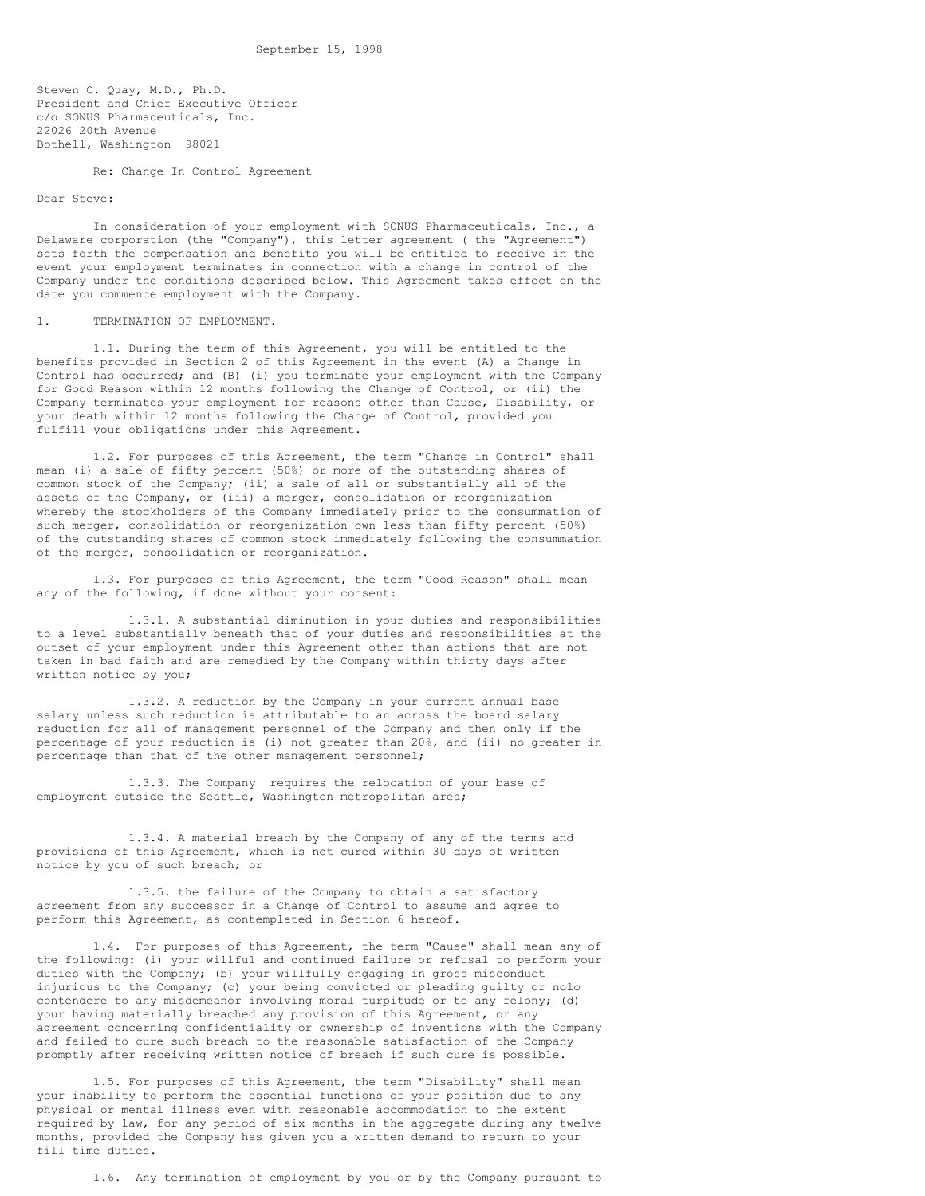Steven C. Quay, M.D., Ph.D. President and Chief Executive Officer c/o SONUS Pharmaceuticals, Inc. 22026 20th Avenue Bothell, Washington 98021

Re: Change In Control Agreement

## Dear Steve:

In consideration of your employment with SONUS Pharmaceuticals, Inc., a Delaware corporation (the "Company"), this letter agreement ( the "Agreement") sets forth the compensation and benefits you will be entitled to receive in the event your employment terminates in connection with a change in control of the Company under the conditions described below. This Agreement takes effect on the date you commence employment with the Company.

#### 1. TERMINATION OF EMPLOYMENT.

1.1. During the term of this Agreement, you will be entitled to the benefits provided in Section 2 of this Agreement in the event (A) a Change in Control has occurred; and (B) (i) you terminate your employment with the Company for Good Reason within 12 months following the Change of Control, or (ii) the Company terminates your employment for reasons other than Cause, Disability, or your death within 12 months following the Change of Control, provided you fulfill your obligations under this Agreement.

1.2. For purposes of this Agreement, the term "Change in Control" shall mean (i) a sale of fifty percent (50%) or more of the outstanding shares of common stock of the Company; (ii) a sale of all or substantially all of the assets of the Company, or (iii) a merger, consolidation or reorganization whereby the stockholders of the Company immediately prior to the consummation of such merger, consolidation or reorganization own less than fifty percent (50%) of the outstanding shares of common stock immediately following the consummation of the merger, consolidation or reorganization.

1.3. For purposes of this Agreement, the term "Good Reason" shall mean any of the following, if done without your consent:

1.3.1. A substantial diminution in your duties and responsibilities to a level substantially beneath that of your duties and responsibilities at the outset of your employment under this Agreement other than actions that are not taken in bad faith and are remedied by the Company within thirty days after written notice by you;

1.3.2. A reduction by the Company in your current annual base salary unless such reduction is attributable to an across the board salary reduction for all of management personnel of the Company and then only if the percentage of your reduction is (i) not greater than 20%, and (ii) no greater in percentage than that of the other management personnel;

1.3.3. The Company requires the relocation of your base of employment outside the Seattle, Washington metropolitan area;

1.3.4. A material breach by the Company of any of the terms and provisions of this Agreement, which is not cured within 30 days of written notice by you of such breach; or

1.3.5. the failure of the Company to obtain a satisfactory agreement from any successor in a Change of Control to assume and agree to perform this Agreement, as contemplated in Section 6 hereof.

1.4. For purposes of this Agreement, the term "Cause" shall mean any of the following: (i) your willful and continued failure or refusal to perform your duties with the Company; (b) your willfully engaging in gross misconduct injurious to the Company; (c) your being convicted or pleading guilty or nolo contendere to any misdemeanor involving moral turpitude or to any felony; (d) your having materially breached any provision of this Agreement, or any agreement concerning confidentiality or ownership of inventions with the Company and failed to cure such breach to the reasonable satisfaction of the Company promptly after receiving written notice of breach if such cure is possible.

1.5. For purposes of this Agreement, the term "Disability" shall mean your inability to perform the essential functions of your position due to any physical or mental illness even with reasonable accommodation to the extent required by law, for any period of six months in the aggregate during any twelve months, provided the Company has given you a written demand to return to your fill time duties.

1.6. Any termination of employment by you or by the Company pursuant to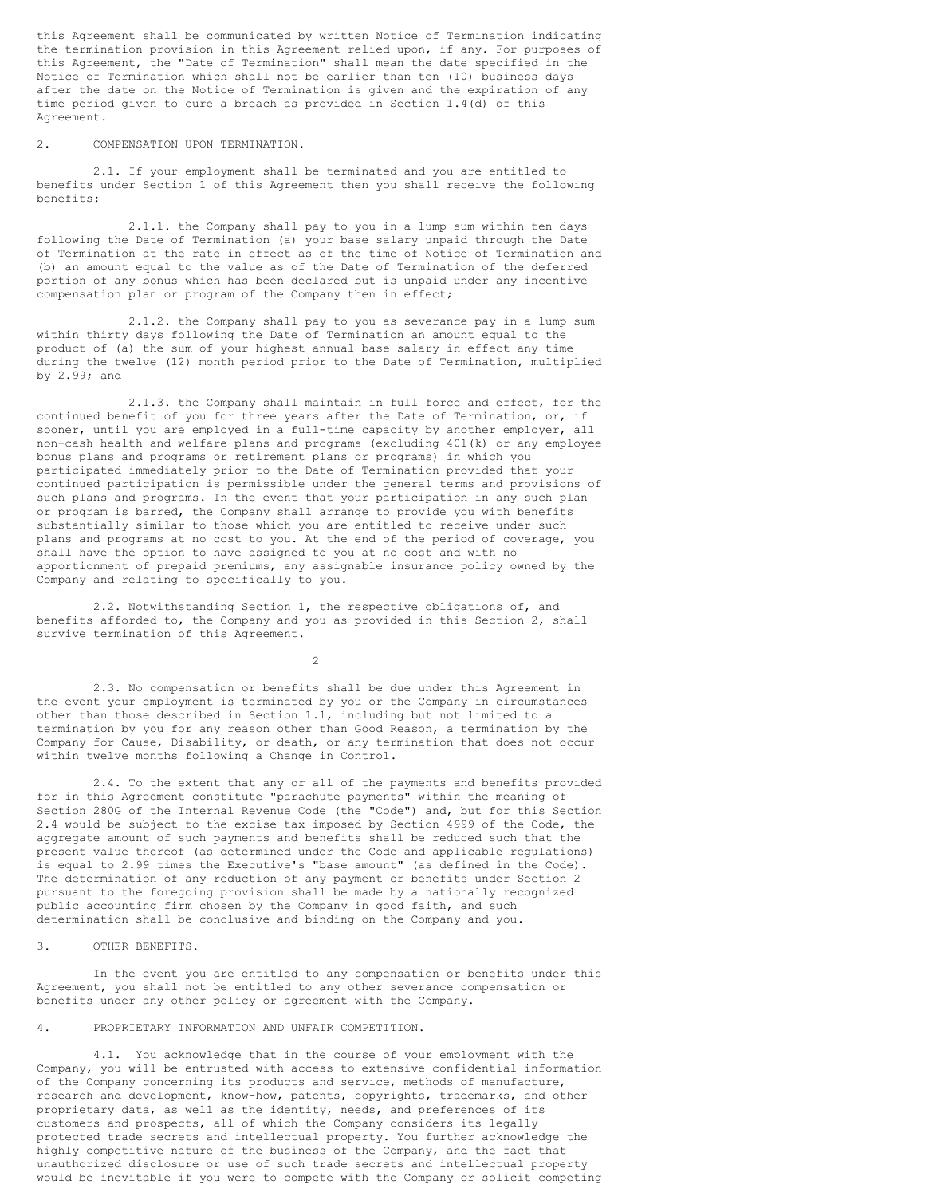this Agreement shall be communicated by written Notice of Termination indicating the termination provision in this Agreement relied upon, if any. For purposes of this Agreement, the "Date of Termination" shall mean the date specified in the Notice of Termination which shall not be earlier than ten (10) business days after the date on the Notice of Termination is given and the expiration of any time period given to cure a breach as provided in Section 1.4(d) of this Agreement.

## 2. COMPENSATION UPON TERMINATION.

2.1. If your employment shall be terminated and you are entitled to benefits under Section 1 of this Agreement then you shall receive the following benefits:

2.1.1. the Company shall pay to you in a lump sum within ten days following the Date of Termination (a) your base salary unpaid through the Date of Termination at the rate in effect as of the time of Notice of Termination and (b) an amount equal to the value as of the Date of Termination of the deferred portion of any bonus which has been declared but is unpaid under any incentive compensation plan or program of the Company then in effect;

2.1.2. the Company shall pay to you as severance pay in a lump sum within thirty days following the Date of Termination an amount equal to the product of (a) the sum of your highest annual base salary in effect any time during the twelve (12) month period prior to the Date of Termination, multiplied by 2.99; and

2.1.3. the Company shall maintain in full force and effect, for the continued benefit of you for three years after the Date of Termination, or, if sooner, until you are employed in a full-time capacity by another employer, all non-cash health and welfare plans and programs (excluding 401(k) or any employee bonus plans and programs or retirement plans or programs) in which you participated immediately prior to the Date of Termination provided that your continued participation is permissible under the general terms and provisions of such plans and programs. In the event that your participation in any such plan or program is barred, the Company shall arrange to provide you with benefits substantially similar to those which you are entitled to receive under such plans and programs at no cost to you. At the end of the period of coverage, you shall have the option to have assigned to you at no cost and with no apportionment of prepaid premiums, any assignable insurance policy owned by the Company and relating to specifically to you.

2.2. Notwithstanding Section 1, the respective obligations of, and benefits afforded to, the Company and you as provided in this Section 2, shall survive termination of this Agreement.

2

2.3. No compensation or benefits shall be due under this Agreement in the event your employment is terminated by you or the Company in circumstances other than those described in Section 1.1, including but not limited to a termination by you for any reason other than Good Reason, a termination by the Company for Cause, Disability, or death, or any termination that does not occur within twelve months following a Change in Control.

2.4. To the extent that any or all of the payments and benefits provided for in this Agreement constitute "parachute payments" within the meaning of Section 280G of the Internal Revenue Code (the "Code") and, but for this Section 2.4 would be subject to the excise tax imposed by Section 4999 of the Code, the aggregate amount of such payments and benefits shall be reduced such that the present value thereof (as determined under the Code and applicable regulations) is equal to 2.99 times the Executive's "base amount" (as defined in the Code). The determination of any reduction of any payment or benefits under Section 2 pursuant to the foregoing provision shall be made by a nationally recognized public accounting firm chosen by the Company in good faith, and such determination shall be conclusive and binding on the Company and you.

#### 3. OTHER BENEFITS.

In the event you are entitled to any compensation or benefits under this Agreement, you shall not be entitled to any other severance compensation or benefits under any other policy or agreement with the Company.

## 4. PROPRIETARY INFORMATION AND UNFAIR COMPETITION.

4.1. You acknowledge that in the course of your employment with the Company, you will be entrusted with access to extensive confidential information of the Company concerning its products and service, methods of manufacture, research and development, know-how, patents, copyrights, trademarks, and other proprietary data, as well as the identity, needs, and preferences of its customers and prospects, all of which the Company considers its legally protected trade secrets and intellectual property. You further acknowledge the highly competitive nature of the business of the Company, and the fact that unauthorized disclosure or use of such trade secrets and intellectual property would be inevitable if you were to compete with the Company or solicit competing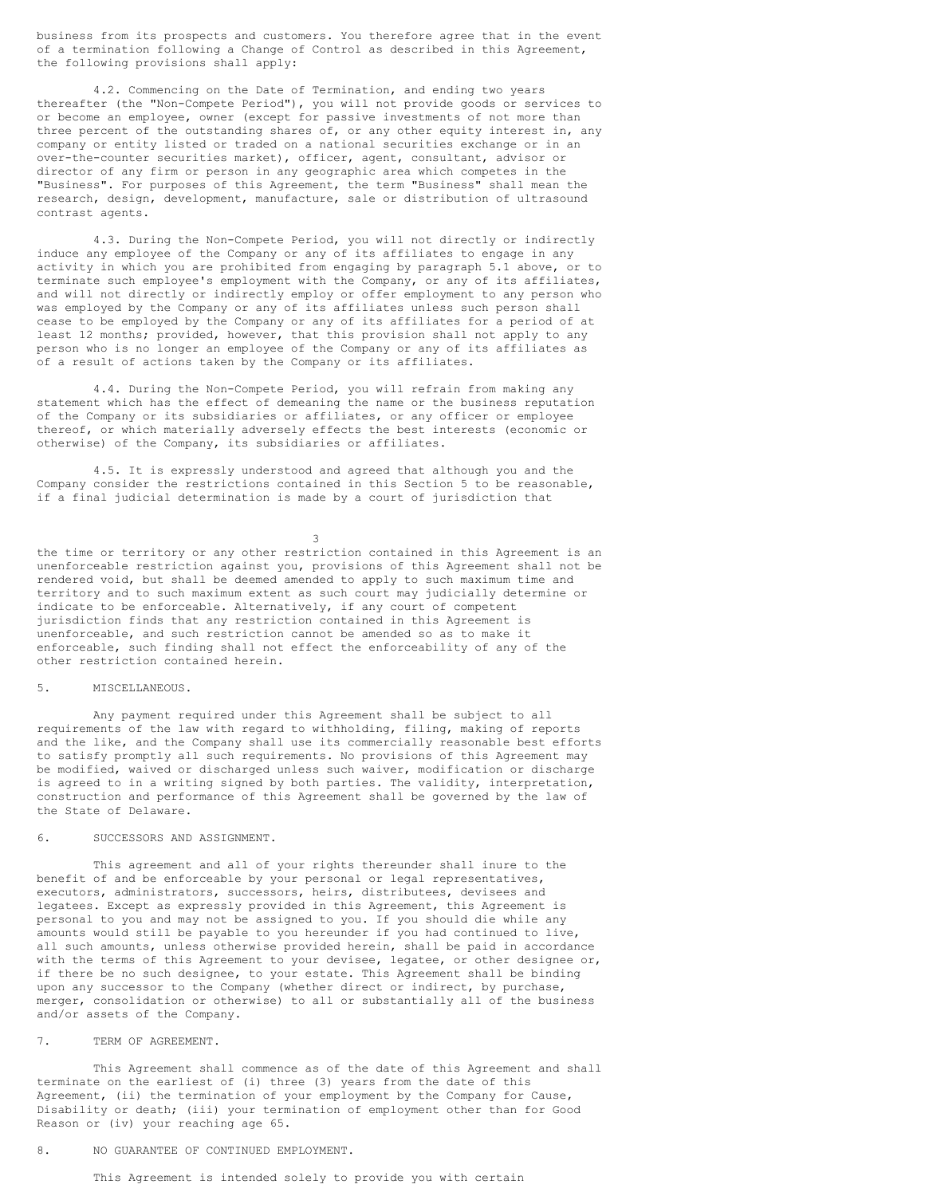business from its prospects and customers. You therefore agree that in the event of a termination following a Change of Control as described in this Agreement, the following provisions shall apply:

4.2. Commencing on the Date of Termination, and ending two years thereafter (the "Non-Compete Period"), you will not provide goods or services to or become an employee, owner (except for passive investments of not more than three percent of the outstanding shares of, or any other equity interest in, any company or entity listed or traded on a national securities exchange or in an over-the-counter securities market), officer, agent, consultant, advisor or director of any firm or person in any geographic area which competes in the "Business". For purposes of this Agreement, the term "Business" shall mean the research, design, development, manufacture, sale or distribution of ultrasound contrast agents.

4.3. During the Non-Compete Period, you will not directly or indirectly induce any employee of the Company or any of its affiliates to engage in any activity in which you are prohibited from engaging by paragraph 5.1 above, or to terminate such employee's employment with the Company, or any of its affiliates, and will not directly or indirectly employ or offer employment to any person who was employed by the Company or any of its affiliates unless such person shall cease to be employed by the Company or any of its affiliates for a period of at least 12 months; provided, however, that this provision shall not apply to any person who is no longer an employee of the Company or any of its affiliates as of a result of actions taken by the Company or its affiliates.

4.4. During the Non-Compete Period, you will refrain from making any statement which has the effect of demeaning the name or the business reputation of the Company or its subsidiaries or affiliates, or any officer or employee thereof, or which materially adversely effects the best interests (economic or otherwise) of the Company, its subsidiaries or affiliates.

4.5. It is expressly understood and agreed that although you and the Company consider the restrictions contained in this Section 5 to be reasonable, if a final judicial determination is made by a court of jurisdiction that

3

the time or territory or any other restriction contained in this Agreement is an unenforceable restriction against you, provisions of this Agreement shall not be rendered void, but shall be deemed amended to apply to such maximum time and territory and to such maximum extent as such court may judicially determine or indicate to be enforceable. Alternatively, if any court of competent jurisdiction finds that any restriction contained in this Agreement is unenforceable, and such restriction cannot be amended so as to make it enforceable, such finding shall not effect the enforceability of any of the other restriction contained herein.

#### 5. MISCELLANEOUS.

Any payment required under this Agreement shall be subject to all requirements of the law with regard to withholding, filing, making of reports and the like, and the Company shall use its commercially reasonable best efforts to satisfy promptly all such requirements. No provisions of this Agreement may be modified, waived or discharged unless such waiver, modification or discharge is agreed to in a writing signed by both parties. The validity, interpretation, construction and performance of this Agreement shall be governed by the law of the State of Delaware.

## 6. SUCCESSORS AND ASSIGNMENT.

This agreement and all of your rights thereunder shall inure to the benefit of and be enforceable by your personal or legal representatives, executors, administrators, successors, heirs, distributees, devisees and legatees. Except as expressly provided in this Agreement, this Agreement is personal to you and may not be assigned to you. If you should die while any amounts would still be payable to you hereunder if you had continued to live, all such amounts, unless otherwise provided herein, shall be paid in accordance with the terms of this Agreement to your devisee, legatee, or other designee or, if there be no such designee, to your estate. This Agreement shall be binding upon any successor to the Company (whether direct or indirect, by purchase, merger, consolidation or otherwise) to all or substantially all of the business and/or assets of the Company.

## 7. TERM OF AGREEMENT.

This Agreement shall commence as of the date of this Agreement and shall terminate on the earliest of (i) three (3) years from the date of this Agreement, (ii) the termination of your employment by the Company for Cause, Disability or death; (iii) your termination of employment other than for Good Reason or (iv) your reaching age 65.

8. NO GUARANTEE OF CONTINUED EMPLOYMENT.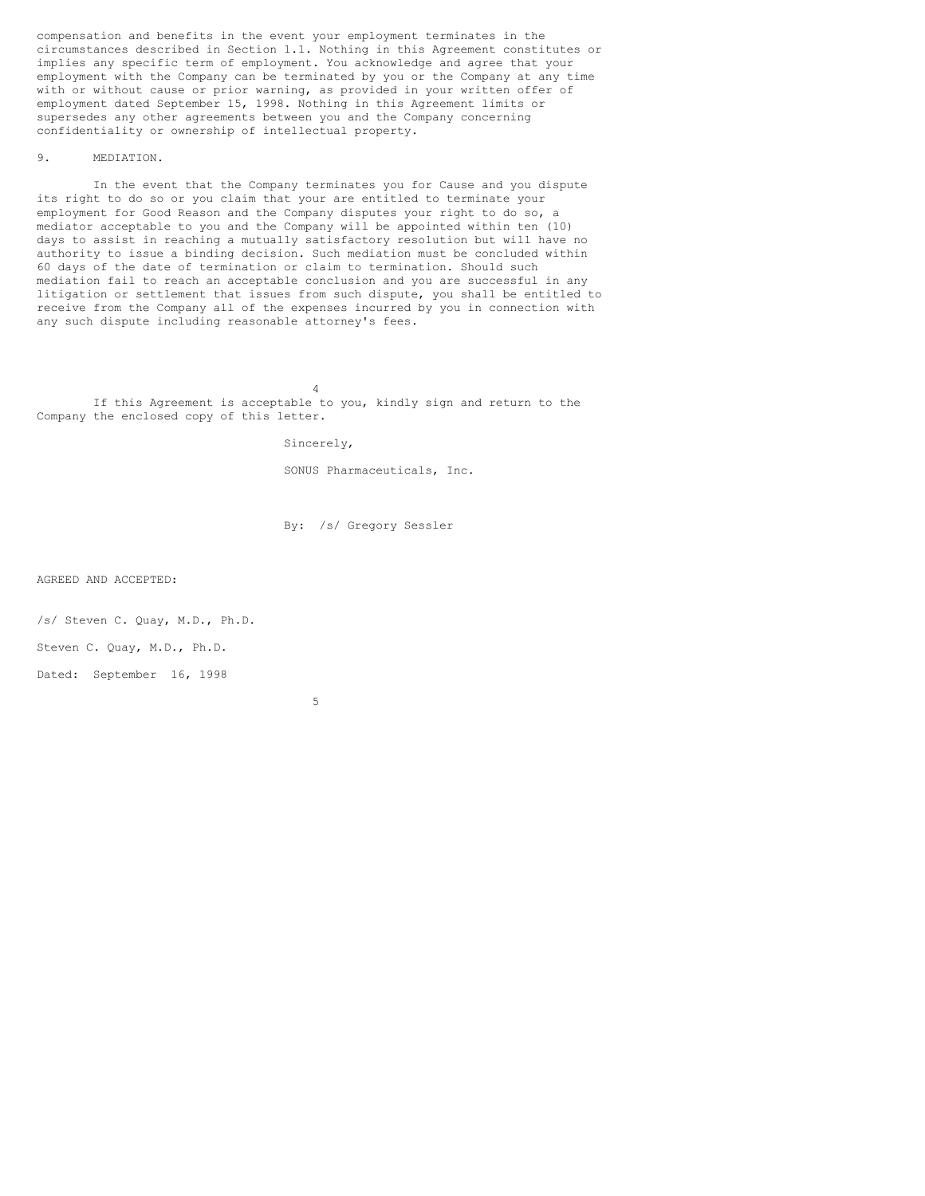compensation and benefits in the event your employment terminates in the circumstances described in Section 1.1. Nothing in this Agreement constitutes or implies any specific term of employment. You acknowledge and agree that your employment with the Company can be terminated by you or the Company at any time with or without cause or prior warning, as provided in your written offer of employment dated September 15, 1998. Nothing in this Agreement limits or supersedes any other agreements between you and the Company concerning confidentiality or ownership of intellectual property.

## 9. MEDIATION.

In the event that the Company terminates you for Cause and you dispute its right to do so or you claim that your are entitled to terminate your employment for Good Reason and the Company disputes your right to do so, a mediator acceptable to you and the Company will be appointed within ten (10) days to assist in reaching a mutually satisfactory resolution but will have no authority to issue a binding decision. Such mediation must be concluded within 60 days of the date of termination or claim to termination. Should such mediation fail to reach an acceptable conclusion and you are successful in any litigation or settlement that issues from such dispute, you shall be entitled to receive from the Company all of the expenses incurred by you in connection with any such dispute including reasonable attorney's fees.

4 If this Agreement is acceptable to you, kindly sign and return to the Company the enclosed copy of this letter.

Sincerely,

SONUS Pharmaceuticals, Inc.

By: /s/ Gregory Sessler

AGREED AND ACCEPTED:

/s/ Steven C. Quay, M.D., Ph.D.

Steven C. Quay, M.D., Ph.D.

Dated: September 16, 1998

5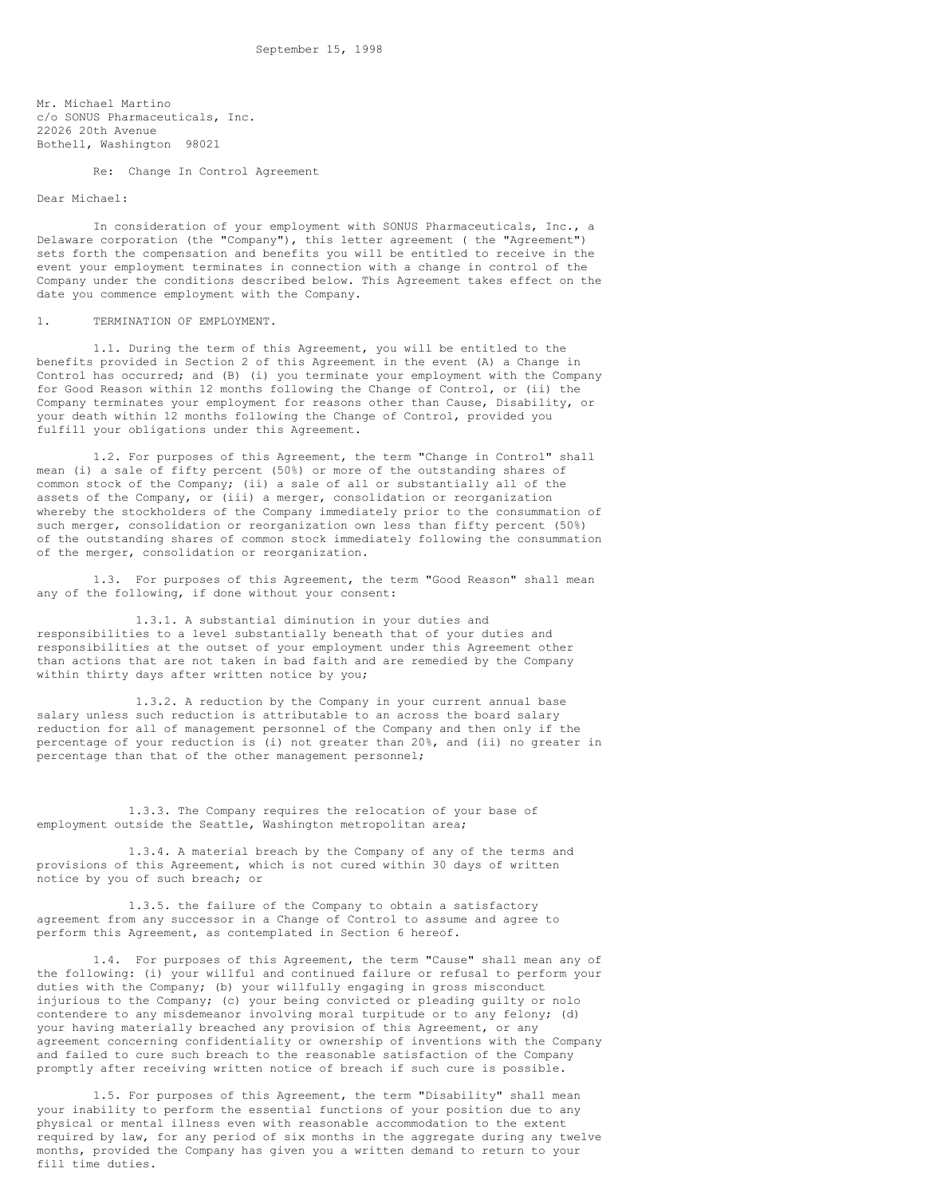Mr. Michael Martino c/o SONUS Pharmaceuticals, Inc. 22026 20th Avenue Bothell, Washington 98021

Re: Change In Control Agreement

#### Dear Michael:

In consideration of your employment with SONUS Pharmaceuticals, Inc., a Delaware corporation (the "Company"), this letter agreement ( the "Agreement") sets forth the compensation and benefits you will be entitled to receive in the event your employment terminates in connection with a change in control of the Company under the conditions described below. This Agreement takes effect on the date you commence employment with the Company.

#### 1. TERMINATION OF EMPLOYMENT.

1.1. During the term of this Agreement, you will be entitled to the benefits provided in Section 2 of this Agreement in the event (A) a Change in Control has occurred; and (B) (i) you terminate your employment with the Company for Good Reason within 12 months following the Change of Control, or (ii) the Company terminates your employment for reasons other than Cause, Disability, or your death within 12 months following the Change of Control, provided you fulfill your obligations under this Agreement.

1.2. For purposes of this Agreement, the term "Change in Control" shall mean (i) a sale of fifty percent (50%) or more of the outstanding shares of common stock of the Company; (ii) a sale of all or substantially all of the assets of the Company, or (iii) a merger, consolidation or reorganization whereby the stockholders of the Company immediately prior to the consummation of such merger, consolidation or reorganization own less than fifty percent (50%) of the outstanding shares of common stock immediately following the consummation of the merger, consolidation or reorganization.

1.3. For purposes of this Agreement, the term "Good Reason" shall mean any of the following, if done without your consent:

1.3.1. A substantial diminution in your duties and responsibilities to a level substantially beneath that of your duties and responsibilities at the outset of your employment under this Agreement other than actions that are not taken in bad faith and are remedied by the Company within thirty days after written notice by you;

1.3.2. A reduction by the Company in your current annual base salary unless such reduction is attributable to an across the board salary reduction for all of management personnel of the Company and then only if the percentage of your reduction is (i) not greater than 20%, and (ii) no greater in percentage than that of the other management personnel;

1.3.3. The Company requires the relocation of your base of employment outside the Seattle, Washington metropolitan area;

1.3.4. A material breach by the Company of any of the terms and provisions of this Agreement, which is not cured within 30 days of written notice by you of such breach; or

1.3.5. the failure of the Company to obtain a satisfactory agreement from any successor in a Change of Control to assume and agree to perform this Agreement, as contemplated in Section 6 hereof.

1.4. For purposes of this Agreement, the term "Cause" shall mean any of the following: (i) your willful and continued failure or refusal to perform your duties with the Company; (b) your willfully engaging in gross misconduct injurious to the Company; (c) your being convicted or pleading guilty or nolo contendere to any misdemeanor involving moral turpitude or to any felony; (d) your having materially breached any provision of this Agreement, or any agreement concerning confidentiality or ownership of inventions with the Company and failed to cure such breach to the reasonable satisfaction of the Company promptly after receiving written notice of breach if such cure is possible.

1.5. For purposes of this Agreement, the term "Disability" shall mean your inability to perform the essential functions of your position due to any physical or mental illness even with reasonable accommodation to the extent required by law, for any period of six months in the aggregate during any twelve months, provided the Company has given you a written demand to return to your fill time duties.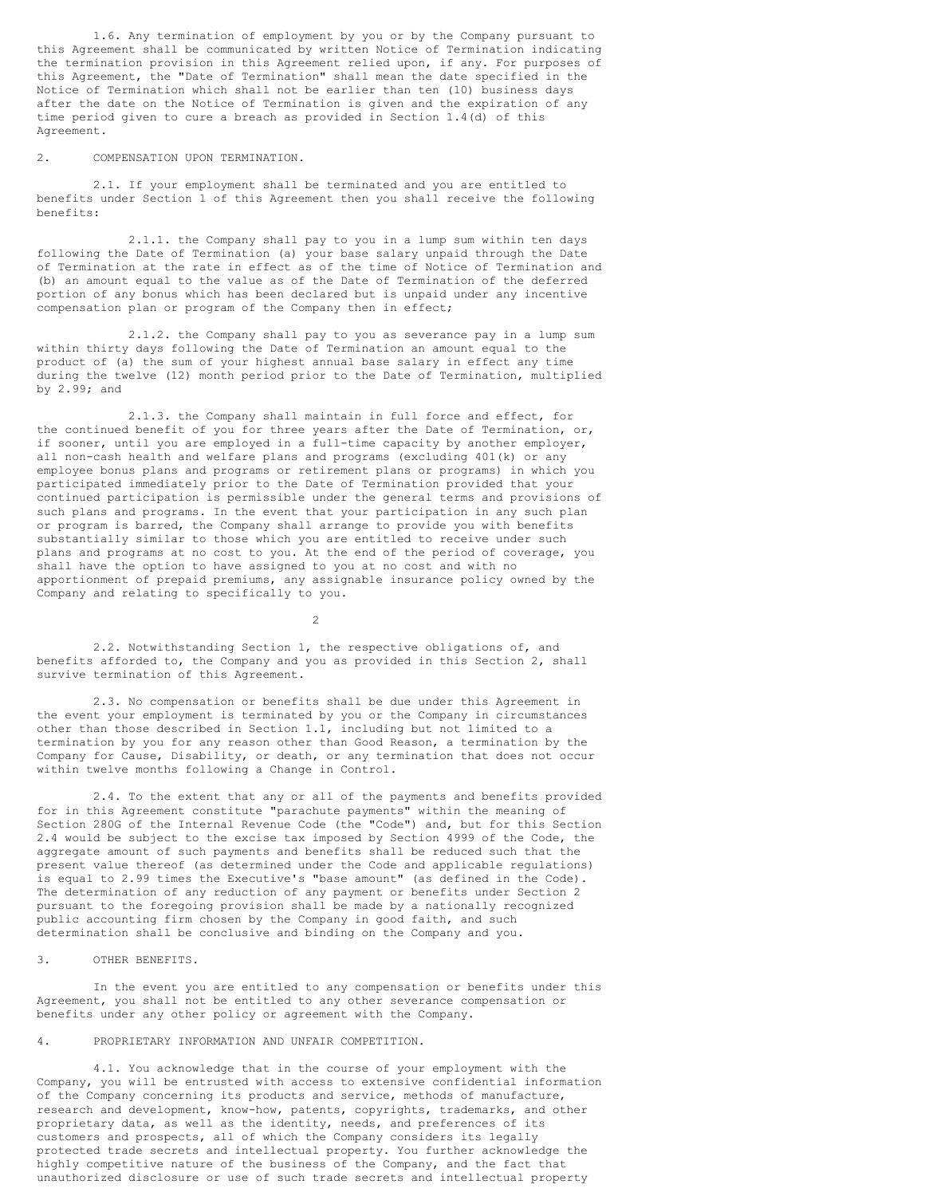1.6. Any termination of employment by you or by the Company pursuant to this Agreement shall be communicated by written Notice of Termination indicating the termination provision in this Agreement relied upon, if any. For purposes of this Agreement, the "Date of Termination" shall mean the date specified in the Notice of Termination which shall not be earlier than ten (10) business days after the date on the Notice of Termination is given and the expiration of any time period given to cure a breach as provided in Section 1.4(d) of this Agreement.

#### 2. COMPENSATION UPON TERMINATION.

2.1. If your employment shall be terminated and you are entitled to benefits under Section 1 of this Agreement then you shall receive the following benefits:

2.1.1. the Company shall pay to you in a lump sum within ten days following the Date of Termination (a) your base salary unpaid through the Date of Termination at the rate in effect as of the time of Notice of Termination and (b) an amount equal to the value as of the Date of Termination of the deferred portion of any bonus which has been declared but is unpaid under any incentive compensation plan or program of the Company then in effect;

2.1.2. the Company shall pay to you as severance pay in a lump sum within thirty days following the Date of Termination an amount equal to the product of (a) the sum of your highest annual base salary in effect any time during the twelve (12) month period prior to the Date of Termination, multiplied by 2.99; and

2.1.3. the Company shall maintain in full force and effect, for the continued benefit of you for three years after the Date of Termination, or, if sooner, until you are employed in a full-time capacity by another employer, all non-cash health and welfare plans and programs (excluding 401(k) or any employee bonus plans and programs or retirement plans or programs) in which you participated immediately prior to the Date of Termination provided that your continued participation is permissible under the general terms and provisions of such plans and programs. In the event that your participation in any such plan or program is barred, the Company shall arrange to provide you with benefits substantially similar to those which you are entitled to receive under such plans and programs at no cost to you. At the end of the period of coverage, you shall have the option to have assigned to you at no cost and with no apportionment of prepaid premiums, any assignable insurance policy owned by the Company and relating to specifically to you.

2

2.2. Notwithstanding Section 1, the respective obligations of, and benefits afforded to, the Company and you as provided in this Section 2, shall survive termination of this Agreement.

2.3. No compensation or benefits shall be due under this Agreement in the event your employment is terminated by you or the Company in circumstances other than those described in Section 1.1, including but not limited to a termination by you for any reason other than Good Reason, a termination by the Company for Cause, Disability, or death, or any termination that does not occur within twelve months following a Change in Control.

2.4. To the extent that any or all of the payments and benefits provided for in this Agreement constitute "parachute payments" within the meaning of Section 280G of the Internal Revenue Code (the "Code") and, but for this Section 2.4 would be subject to the excise tax imposed by Section 4999 of the Code, the aggregate amount of such payments and benefits shall be reduced such that the present value thereof (as determined under the Code and applicable regulations) is equal to 2.99 times the Executive's "base amount" (as defined in the Code). The determination of any reduction of any payment or benefits under Section 2 pursuant to the foregoing provision shall be made by a nationally recognized public accounting firm chosen by the Company in good faith, and such determination shall be conclusive and binding on the Company and you.

#### 3. OTHER BENEFITS.

In the event you are entitled to any compensation or benefits under this Agreement, you shall not be entitled to any other severance compensation or benefits under any other policy or agreement with the Company.

## 4. PROPRIETARY INFORMATION AND UNFAIR COMPETITION.

4.1. You acknowledge that in the course of your employment with the Company, you will be entrusted with access to extensive confidential information of the Company concerning its products and service, methods of manufacture, research and development, know-how, patents, copyrights, trademarks, and other proprietary data, as well as the identity, needs, and preferences of its customers and prospects, all of which the Company considers its legally protected trade secrets and intellectual property. You further acknowledge the highly competitive nature of the business of the Company, and the fact that unauthorized disclosure or use of such trade secrets and intellectual property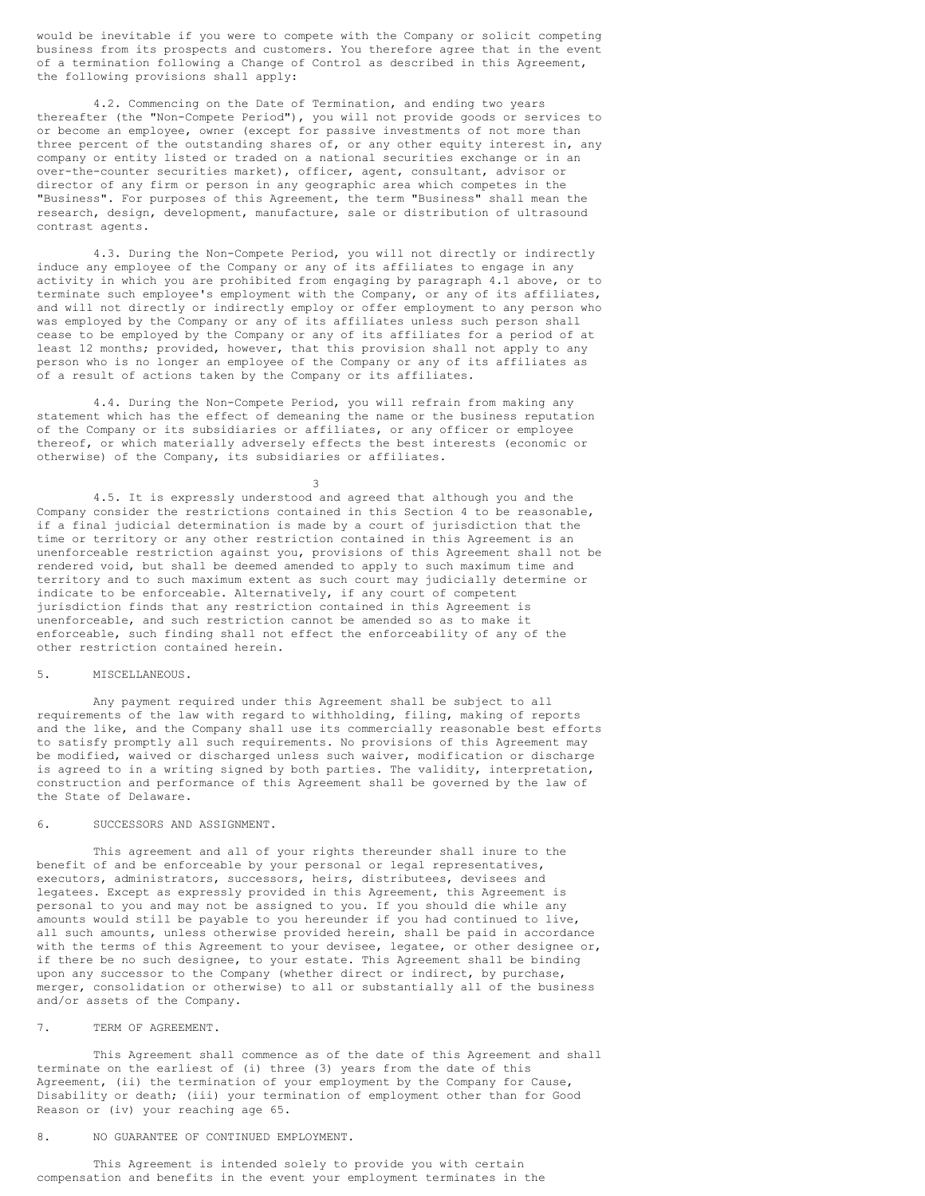would be inevitable if you were to compete with the Company or solicit competing business from its prospects and customers. You therefore agree that in the event of a termination following a Change of Control as described in this Agreement, the following provisions shall apply:

4.2. Commencing on the Date of Termination, and ending two years thereafter (the "Non-Compete Period"), you will not provide goods or services to or become an employee, owner (except for passive investments of not more than three percent of the outstanding shares of, or any other equity interest in, any company or entity listed or traded on a national securities exchange or in an over-the-counter securities market), officer, agent, consultant, advisor or director of any firm or person in any geographic area which competes in the "Business". For purposes of this Agreement, the term "Business" shall mean the research, design, development, manufacture, sale or distribution of ultrasound contrast agents.

4.3. During the Non-Compete Period, you will not directly or indirectly induce any employee of the Company or any of its affiliates to engage in any activity in which you are prohibited from engaging by paragraph 4.1 above, or to terminate such employee's employment with the Company, or any of its affiliates, and will not directly or indirectly employ or offer employment to any person who was employed by the Company or any of its affiliates unless such person shall cease to be employed by the Company or any of its affiliates for a period of at least 12 months; provided, however, that this provision shall not apply to any person who is no longer an employee of the Company or any of its affiliates as of a result of actions taken by the Company or its affiliates.

4.4. During the Non-Compete Period, you will refrain from making any statement which has the effect of demeaning the name or the business reputation of the Company or its subsidiaries or affiliates, or any officer or employee thereof, or which materially adversely effects the best interests (economic or otherwise) of the Company, its subsidiaries or affiliates.

3 4.5. It is expressly understood and agreed that although you and the Company consider the restrictions contained in this Section 4 to be reasonable, if a final judicial determination is made by a court of jurisdiction that the time or territory or any other restriction contained in this Agreement is an unenforceable restriction against you, provisions of this Agreement shall not be rendered void, but shall be deemed amended to apply to such maximum time and territory and to such maximum extent as such court may judicially determine or indicate to be enforceable. Alternatively, if any court of competent jurisdiction finds that any restriction contained in this Agreement is unenforceable, and such restriction cannot be amended so as to make it enforceable, such finding shall not effect the enforceability of any of the other restriction contained herein.

#### 5. MISCELLANEOUS.

Any payment required under this Agreement shall be subject to all requirements of the law with regard to withholding, filing, making of reports and the like, and the Company shall use its commercially reasonable best efforts to satisfy promptly all such requirements. No provisions of this Agreement may be modified, waived or discharged unless such waiver, modification or discharge is agreed to in a writing signed by both parties. The validity, interpretation, construction and performance of this Agreement shall be governed by the law of the State of Delaware.

## 6. SUCCESSORS AND ASSIGNMENT.

This agreement and all of your rights thereunder shall inure to the benefit of and be enforceable by your personal or legal representatives, executors, administrators, successors, heirs, distributees, devisees and legatees. Except as expressly provided in this Agreement, this Agreement is personal to you and may not be assigned to you. If you should die while any amounts would still be payable to you hereunder if you had continued to live, all such amounts, unless otherwise provided herein, shall be paid in accordance with the terms of this Agreement to your devisee, legatee, or other designee or, if there be no such designee, to your estate. This Agreement shall be binding upon any successor to the Company (whether direct or indirect, by purchase, merger, consolidation or otherwise) to all or substantially all of the business and/or assets of the Company.

#### 7. TERM OF AGREEMENT.

This Agreement shall commence as of the date of this Agreement and shall terminate on the earliest of (i) three (3) years from the date of this Agreement, (ii) the termination of your employment by the Company for Cause, Disability or death; (iii) your termination of employment other than for Good Reason or (iv) your reaching age 65.

## 8. NO GUARANTEE OF CONTINUED EMPLOYMENT.

This Agreement is intended solely to provide you with certain compensation and benefits in the event your employment terminates in the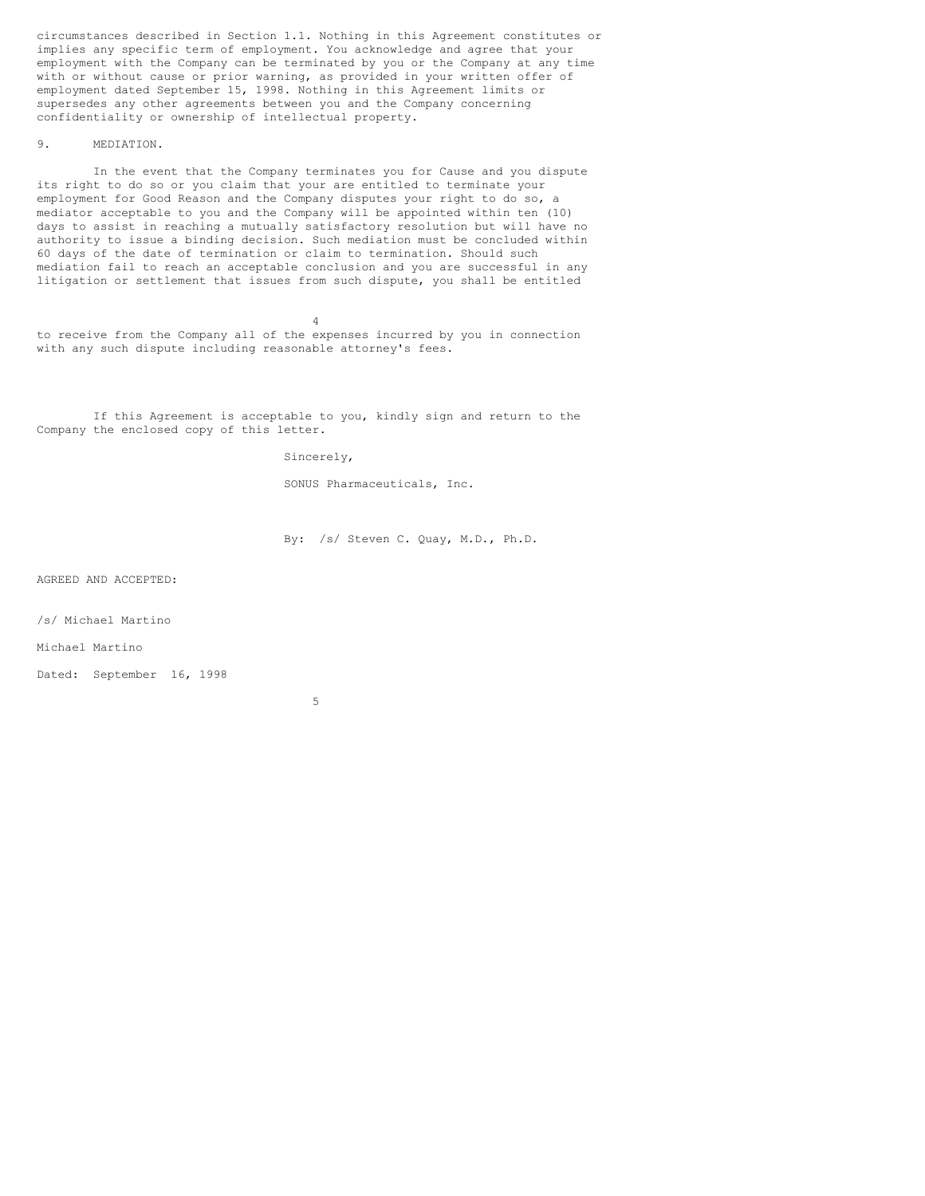circumstances described in Section 1.1. Nothing in this Agreement constitutes or implies any specific term of employment. You acknowledge and agree that your employment with the Company can be terminated by you or the Company at any time with or without cause or prior warning, as provided in your written offer of employment dated September 15, 1998. Nothing in this Agreement limits or supersedes any other agreements between you and the Company concerning confidentiality or ownership of intellectual property.

## 9. MEDIATION.

In the event that the Company terminates you for Cause and you dispute its right to do so or you claim that your are entitled to terminate your employment for Good Reason and the Company disputes your right to do so, a mediator acceptable to you and the Company will be appointed within ten (10) days to assist in reaching a mutually satisfactory resolution but will have no authority to issue a binding decision. Such mediation must be concluded within 60 days of the date of termination or claim to termination. Should such mediation fail to reach an acceptable conclusion and you are successful in any litigation or settlement that issues from such dispute, you shall be entitled

4 to receive from the Company all of the expenses incurred by you in connection with any such dispute including reasonable attorney's fees.

If this Agreement is acceptable to you, kindly sign and return to the Company the enclosed copy of this letter.

Sincerely,

SONUS Pharmaceuticals, Inc.

By: /s/ Steven C. Quay, M.D., Ph.D.

AGREED AND ACCEPTED:

/s/ Michael Martino

Michael Martino

Dated: September 16, 1998

5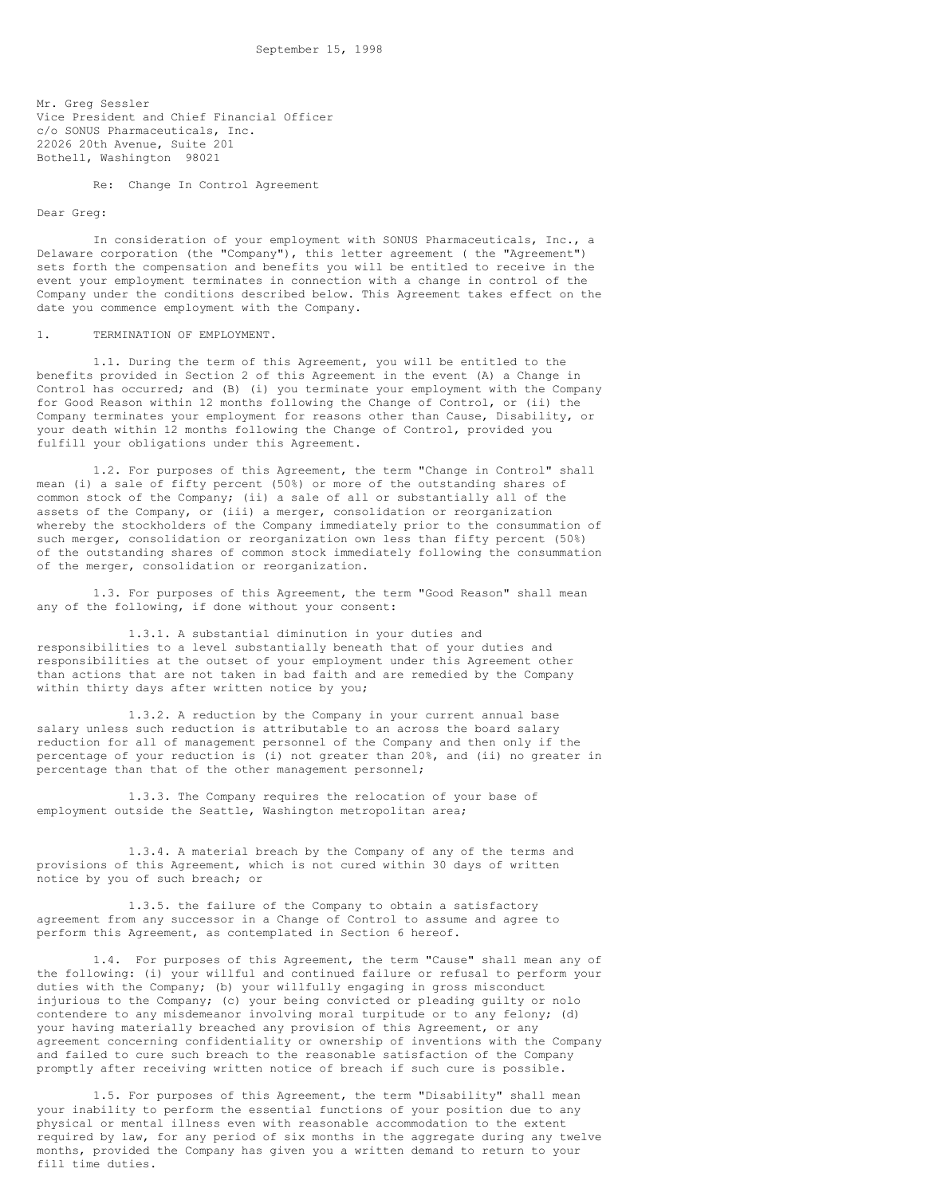Mr. Greg Sessler Vice President and Chief Financial Officer c/o SONUS Pharmaceuticals, Inc. 22026 20th Avenue, Suite 201 Bothell, Washington 98021

Re: Change In Control Agreement

#### Dear Greg:

In consideration of your employment with SONUS Pharmaceuticals, Inc., a Delaware corporation (the "Company"), this letter agreement ( the "Agreement") sets forth the compensation and benefits you will be entitled to receive in the event your employment terminates in connection with a change in control of the Company under the conditions described below. This Agreement takes effect on the date you commence employment with the Company.

#### 1. TERMINATION OF EMPLOYMENT.

1.1. During the term of this Agreement, you will be entitled to the benefits provided in Section 2 of this Agreement in the event (A) a Change in Control has occurred; and (B) (i) you terminate your employment with the Company for Good Reason within 12 months following the Change of Control, or (ii) the Company terminates your employment for reasons other than Cause, Disability, or your death within 12 months following the Change of Control, provided you fulfill your obligations under this Agreement.

1.2. For purposes of this Agreement, the term "Change in Control" shall mean (i) a sale of fifty percent (50%) or more of the outstanding shares of common stock of the Company; (ii) a sale of all or substantially all of the assets of the Company, or (iii) a merger, consolidation or reorganization whereby the stockholders of the Company immediately prior to the consummation of such merger, consolidation or reorganization own less than fifty percent (50%) of the outstanding shares of common stock immediately following the consummation of the merger, consolidation or reorganization.

1.3. For purposes of this Agreement, the term "Good Reason" shall mean any of the following, if done without your consent:

1.3.1. A substantial diminution in your duties and responsibilities to a level substantially beneath that of your duties and responsibilities at the outset of your employment under this Agreement other than actions that are not taken in bad faith and are remedied by the Company within thirty days after written notice by you;

1.3.2. A reduction by the Company in your current annual base salary unless such reduction is attributable to an across the board salary reduction for all of management personnel of the Company and then only if the percentage of your reduction is (i) not greater than 20%, and (ii) no greater in percentage than that of the other management personnel;

1.3.3. The Company requires the relocation of your base of employment outside the Seattle, Washington metropolitan area;

1.3.4. A material breach by the Company of any of the terms and provisions of this Agreement, which is not cured within 30 days of written notice by you of such breach; or

1.3.5. the failure of the Company to obtain a satisfactory agreement from any successor in a Change of Control to assume and agree to perform this Agreement, as contemplated in Section 6 hereof.

1.4. For purposes of this Agreement, the term "Cause" shall mean any of the following: (i) your willful and continued failure or refusal to perform your duties with the Company; (b) your willfully engaging in gross misconduct injurious to the Company; (c) your being convicted or pleading guilty or nolo contendere to any misdemeanor involving moral turpitude or to any felony; (d) your having materially breached any provision of this Agreement, or any agreement concerning confidentiality or ownership of inventions with the Company and failed to cure such breach to the reasonable satisfaction of the Company promptly after receiving written notice of breach if such cure is possible.

1.5. For purposes of this Agreement, the term "Disability" shall mean your inability to perform the essential functions of your position due to any physical or mental illness even with reasonable accommodation to the extent required by law, for any period of six months in the aggregate during any twelve months, provided the Company has given you a written demand to return to your fill time duties.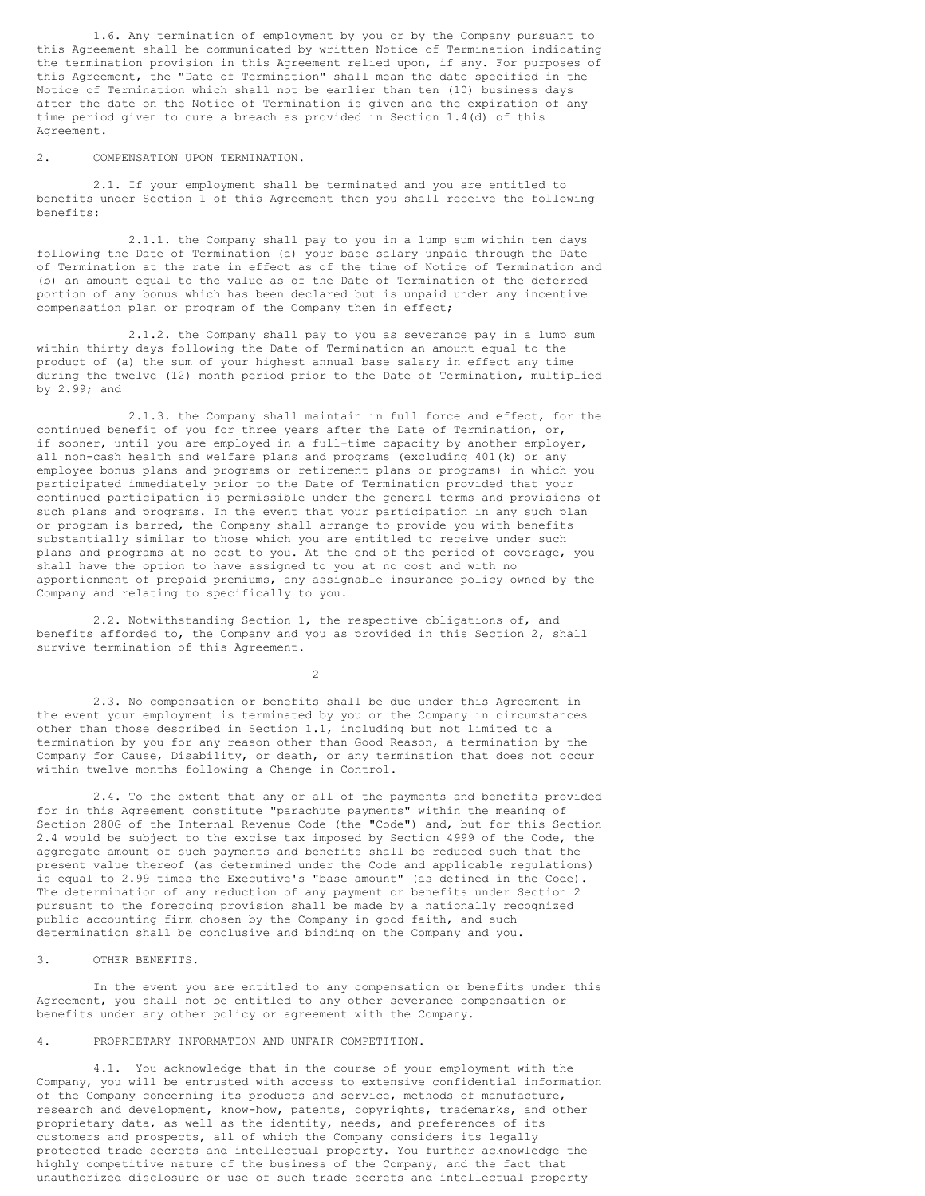1.6. Any termination of employment by you or by the Company pursuant to this Agreement shall be communicated by written Notice of Termination indicating the termination provision in this Agreement relied upon, if any. For purposes of this Agreement, the "Date of Termination" shall mean the date specified in the Notice of Termination which shall not be earlier than ten (10) business days after the date on the Notice of Termination is given and the expiration of any time period given to cure a breach as provided in Section 1.4(d) of this Agreement.

#### 2. COMPENSATION UPON TERMINATION.

2.1. If your employment shall be terminated and you are entitled to benefits under Section 1 of this Agreement then you shall receive the following benefits:

2.1.1. the Company shall pay to you in a lump sum within ten days following the Date of Termination (a) your base salary unpaid through the Date of Termination at the rate in effect as of the time of Notice of Termination and (b) an amount equal to the value as of the Date of Termination of the deferred portion of any bonus which has been declared but is unpaid under any incentive compensation plan or program of the Company then in effect;

2.1.2. the Company shall pay to you as severance pay in a lump sum within thirty days following the Date of Termination an amount equal to the product of (a) the sum of your highest annual base salary in effect any time during the twelve (12) month period prior to the Date of Termination, multiplied by 2.99; and

2.1.3. the Company shall maintain in full force and effect, for the continued benefit of you for three years after the Date of Termination, or, if sooner, until you are employed in a full-time capacity by another employer, all non-cash health and welfare plans and programs (excluding 401(k) or any employee bonus plans and programs or retirement plans or programs) in which you participated immediately prior to the Date of Termination provided that your continued participation is permissible under the general terms and provisions of such plans and programs. In the event that your participation in any such plan or program is barred, the Company shall arrange to provide you with benefits substantially similar to those which you are entitled to receive under such plans and programs at no cost to you. At the end of the period of coverage, you shall have the option to have assigned to you at no cost and with no apportionment of prepaid premiums, any assignable insurance policy owned by the Company and relating to specifically to you.

2.2. Notwithstanding Section 1, the respective obligations of, and benefits afforded to, the Company and you as provided in this Section 2, shall survive termination of this Agreement.

2

2.3. No compensation or benefits shall be due under this Agreement in the event your employment is terminated by you or the Company in circumstances other than those described in Section 1.1, including but not limited to a termination by you for any reason other than Good Reason, a termination by the Company for Cause, Disability, or death, or any termination that does not occur within twelve months following a Change in Control.

2.4. To the extent that any or all of the payments and benefits provided for in this Agreement constitute "parachute payments" within the meaning of Section 280G of the Internal Revenue Code (the "Code") and, but for this Section 2.4 would be subject to the excise tax imposed by Section 4999 of the Code, the aggregate amount of such payments and benefits shall be reduced such that the present value thereof (as determined under the Code and applicable regulations) is equal to 2.99 times the Executive's "base amount" (as defined in the Code). The determination of any reduction of any payment or benefits under Section 2 pursuant to the foregoing provision shall be made by a nationally recognized public accounting firm chosen by the Company in good faith, and such determination shall be conclusive and binding on the Company and you.

3. OTHER BENEFITS.

In the event you are entitled to any compensation or benefits under this Agreement, you shall not be entitled to any other severance compensation or benefits under any other policy or agreement with the Company.

## 4. PROPRIETARY INFORMATION AND UNFAIR COMPETITION.

4.1. You acknowledge that in the course of your employment with the Company, you will be entrusted with access to extensive confidential information of the Company concerning its products and service, methods of manufacture, research and development, know-how, patents, copyrights, trademarks, and other proprietary data, as well as the identity, needs, and preferences of its customers and prospects, all of which the Company considers its legally protected trade secrets and intellectual property. You further acknowledge the highly competitive nature of the business of the Company, and the fact that unauthorized disclosure or use of such trade secrets and intellectual property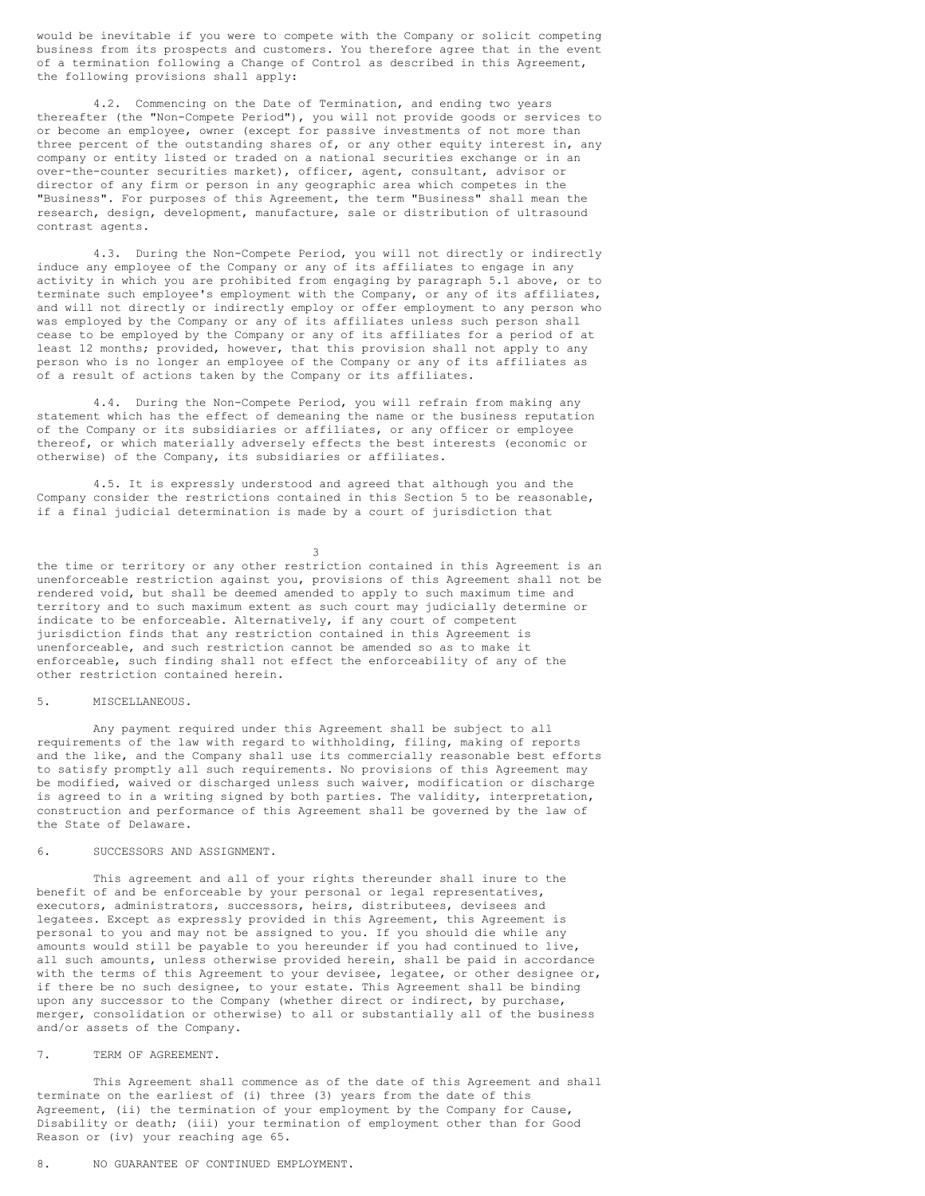would be inevitable if you were to compete with the Company or solicit competing business from its prospects and customers. You therefore agree that in the event of a termination following a Change of Control as described in this Agreement, the following provisions shall apply:

4.2. Commencing on the Date of Termination, and ending two years thereafter (the "Non-Compete Period"), you will not provide goods or services to or become an employee, owner (except for passive investments of not more than three percent of the outstanding shares of, or any other equity interest in, any company or entity listed or traded on a national securities exchange or in an over-the-counter securities market), officer, agent, consultant, advisor or director of any firm or person in any geographic area which competes in the "Business". For purposes of this Agreement, the term "Business" shall mean the research, design, development, manufacture, sale or distribution of ultrasound contrast agents.

4.3. During the Non-Compete Period, you will not directly or indirectly induce any employee of the Company or any of its affiliates to engage in any activity in which you are prohibited from engaging by paragraph 5.1 above, or to terminate such employee's employment with the Company, or any of its affiliates, and will not directly or indirectly employ or offer employment to any person who was employed by the Company or any of its affiliates unless such person shall cease to be employed by the Company or any of its affiliates for a period of at least 12 months; provided, however, that this provision shall not apply to any person who is no longer an employee of the Company or any of its affiliates as of a result of actions taken by the Company or its affiliates.

4.4. During the Non-Compete Period, you will refrain from making any statement which has the effect of demeaning the name or the business reputation of the Company or its subsidiaries or affiliates, or any officer or employee thereof, or which materially adversely effects the best interests (economic or otherwise) of the Company, its subsidiaries or affiliates.

4.5. It is expressly understood and agreed that although you and the Company consider the restrictions contained in this Section 5 to be reasonable, if a final judicial determination is made by a court of jurisdiction that

3

the time or territory or any other restriction contained in this Agreement is an unenforceable restriction against you, provisions of this Agreement shall not be rendered void, but shall be deemed amended to apply to such maximum time and territory and to such maximum extent as such court may judicially determine or indicate to be enforceable. Alternatively, if any court of competent jurisdiction finds that any restriction contained in this Agreement is unenforceable, and such restriction cannot be amended so as to make it enforceable, such finding shall not effect the enforceability of any of the other restriction contained herein.

#### 5. MISCELLANEOUS.

Any payment required under this Agreement shall be subject to all requirements of the law with regard to withholding, filing, making of reports and the like, and the Company shall use its commercially reasonable best efforts to satisfy promptly all such requirements. No provisions of this Agreement may be modified, waived or discharged unless such waiver, modification or discharge is agreed to in a writing signed by both parties. The validity, interpretation, construction and performance of this Agreement shall be governed by the law of the State of Delaware.

#### 6. SUCCESSORS AND ASSIGNMENT.

This agreement and all of your rights thereunder shall inure to the benefit of and be enforceable by your personal or legal representatives, executors, administrators, successors, heirs, distributees, devisees and legatees. Except as expressly provided in this Agreement, this Agreement is personal to you and may not be assigned to you. If you should die while any amounts would still be payable to you hereunder if you had continued to live, all such amounts, unless otherwise provided herein, shall be paid in accordance with the terms of this Agreement to your devisee, legatee, or other designee or, if there be no such designee, to your estate. This Agreement shall be binding upon any successor to the Company (whether direct or indirect, by purchase, merger, consolidation or otherwise) to all or substantially all of the business and/or assets of the Company.

#### 7. TERM OF AGREEMENT.

This Agreement shall commence as of the date of this Agreement and shall terminate on the earliest of (i) three (3) years from the date of this Agreement, (ii) the termination of your employment by the Company for Cause, Disability or death; (iii) your termination of employment other than for Good Reason or (iv) your reaching age 65.

## 8. NO GUARANTEE OF CONTINUED EMPLOYMENT.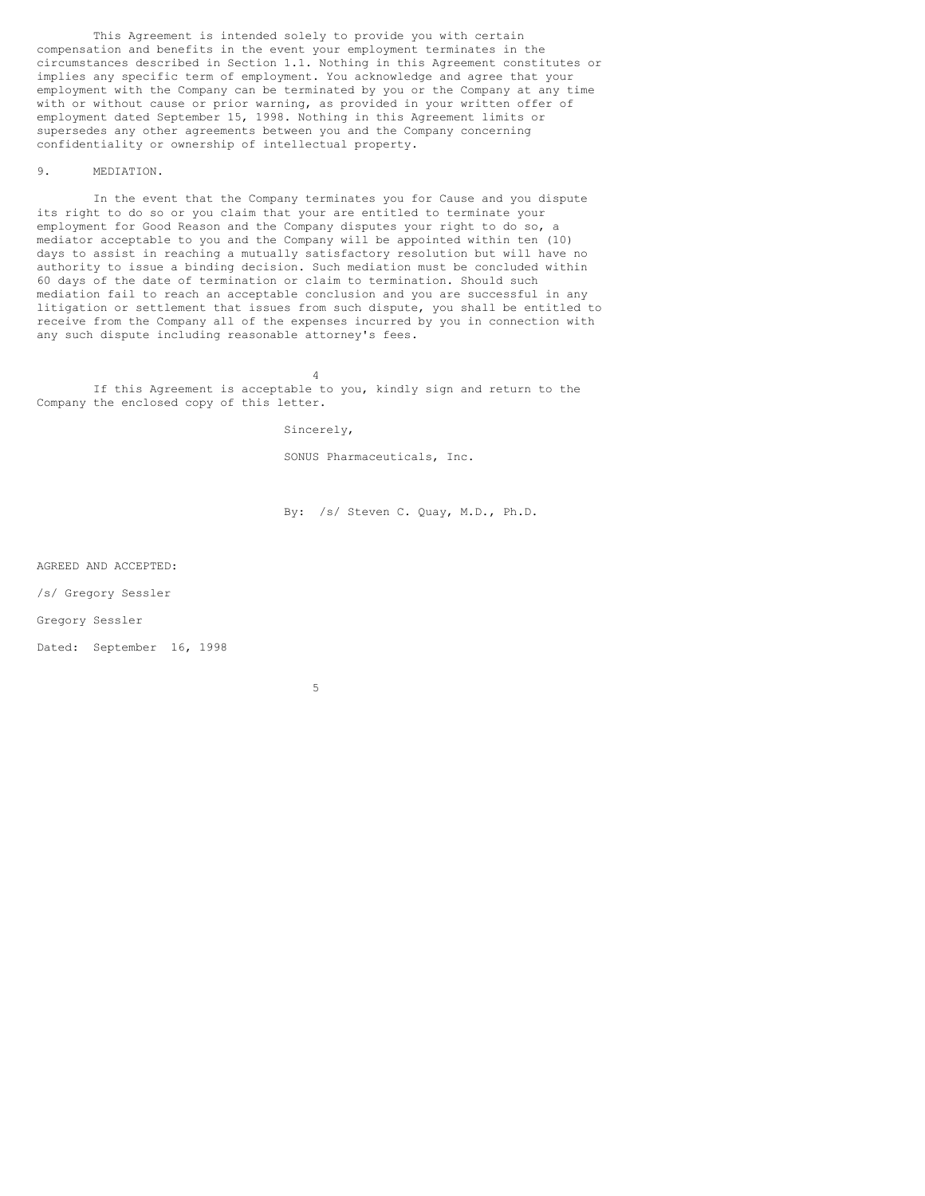This Agreement is intended solely to provide you with certain compensation and benefits in the event your employment terminates in the circumstances described in Section 1.1. Nothing in this Agreement constitutes or implies any specific term of employment. You acknowledge and agree that your employment with the Company can be terminated by you or the Company at any time with or without cause or prior warning, as provided in your written offer of employment dated September 15, 1998. Nothing in this Agreement limits or supersedes any other agreements between you and the Company concerning confidentiality or ownership of intellectual property.

#### 9. MEDIATION.

In the event that the Company terminates you for Cause and you dispute its right to do so or you claim that your are entitled to terminate your employment for Good Reason and the Company disputes your right to do so, a mediator acceptable to you and the Company will be appointed within ten (10) days to assist in reaching a mutually satisfactory resolution but will have no authority to issue a binding decision. Such mediation must be concluded within 60 days of the date of termination or claim to termination. Should such mediation fail to reach an acceptable conclusion and you are successful in any litigation or settlement that issues from such dispute, you shall be entitled to receive from the Company all of the expenses incurred by you in connection with any such dispute including reasonable attorney's fees.

4 If this Agreement is acceptable to you, kindly sign and return to the Company the enclosed copy of this letter.

Sincerely,

SONUS Pharmaceuticals, Inc.

By: /s/ Steven C. Quay, M.D., Ph.D.

AGREED AND ACCEPTED:

/s/ Gregory Sessler

Gregory Sessler

Dated: September 16, 1998

5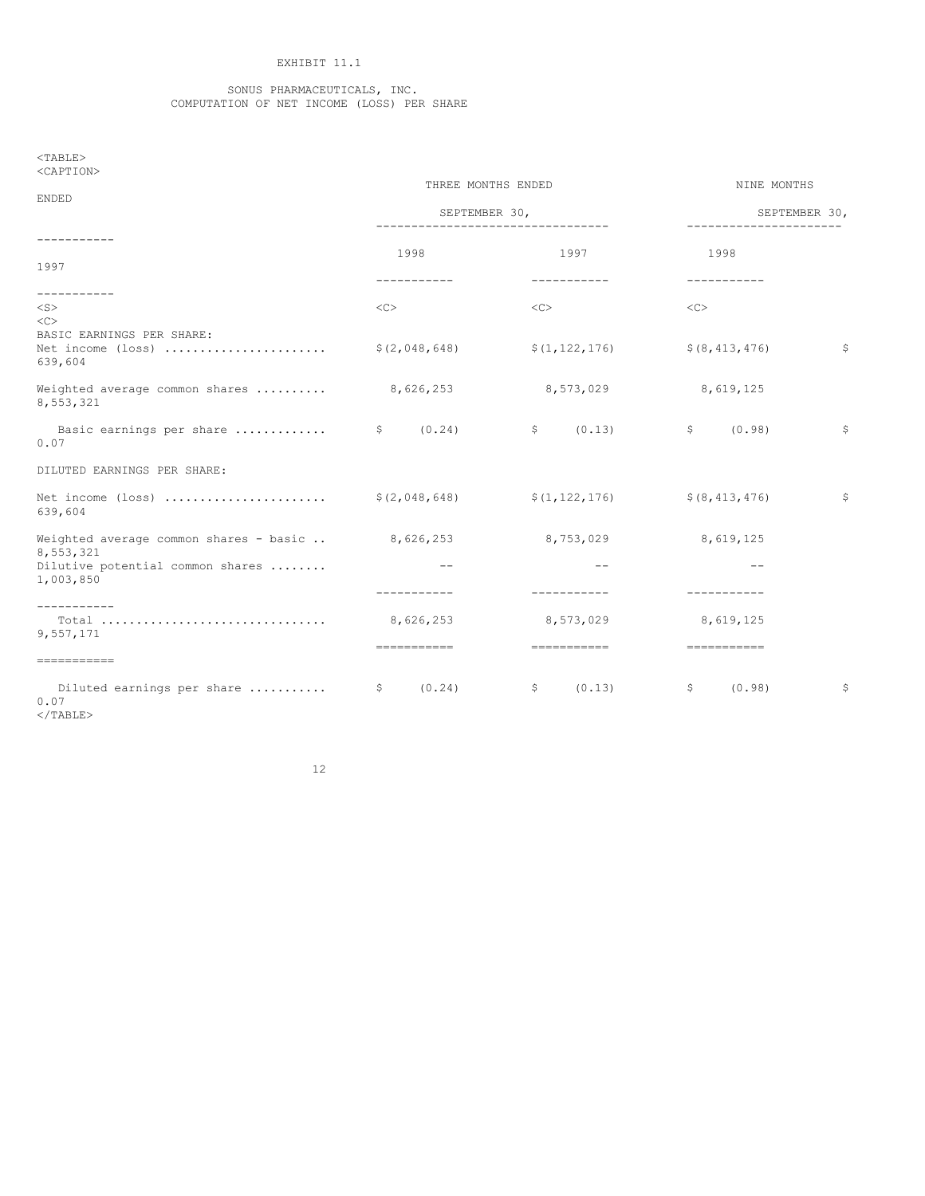## EXHIBIT 11.1

#### SONUS PHARMACEUTICALS, INC. COMPUTATION OF NET INCOME (LOSS) PER SHARE

| $<$ TABLE><br><caption></caption>                                            |                                                     |                        |                        |              |
|------------------------------------------------------------------------------|-----------------------------------------------------|------------------------|------------------------|--------------|
| ENDED                                                                        | THREE MONTHS ENDED                                  | NINE MONTHS            |                        |              |
|                                                                              | SEPTEMBER 30,<br>---------------------------------- | ------------------     | SEPTEMBER 30,          |              |
| -----------                                                                  | 1998                                                | 1997                   | 1998                   |              |
| 1997                                                                         | -----------                                         | -----------            | -----------            |              |
| ------------<br>$<$ S $>$<br><<                                              | <<                                                  | <<                     | <<                     |              |
| BASIC EARNINGS PER SHARE:<br>Net income (loss)<br>639,604                    | \$(2,048,648)                                       | \$(1, 122, 176)        | \$ (8, 413, 476)       | $\mathsf{S}$ |
| Weighted average common shares $\ldots \ldots \ldots$ 8,626,253<br>8,553,321 |                                                     | 8,573,029              | 8,619,125              |              |
| 0.07                                                                         | (0.24)                                              | \$ (0.13)              | \$ (0.98)              | \$           |
| DILUTED EARNINGS PER SHARE:                                                  |                                                     |                        |                        |              |
| Net income (loss) \$(2,048,648) \$(1,122,176) \$(8,413,476)<br>639,604       |                                                     |                        |                        | $\mathsf{S}$ |
| Weighted average common shares - basic $8,626,253$<br>8,553,321              |                                                     | 8,753,029              | 8,619,125              |              |
| Dilutive potential common shares<br>1,003,850                                |                                                     |                        | $- -$                  |              |
| -----------                                                                  | -----------                                         | -----------            | -----------            |              |
| 9,557,171                                                                    | 8,626,253                                           | 8,573,029              | 8,619,125              |              |
| ===========                                                                  | ============                                        | ============           | essessesses            |              |
| 0.07                                                                         | (0.24)                                              | (0.13)<br>$\mathsf{S}$ | (0.98)<br>$\mathsf{S}$ | \$           |

</TABLE>

12